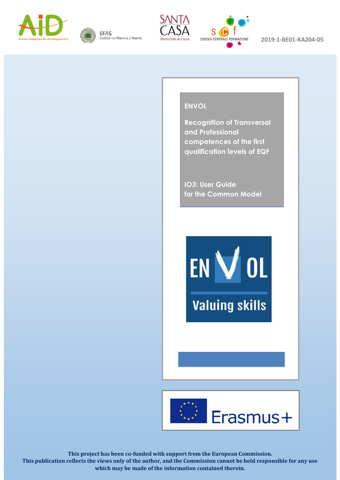





 $\overline{\phantom{a}}$ 

Spain

Italy



2019-1-BE01-KA204-05

#### Belgium **ENVOL**

**Post Separate Separate Separate Separate Separate Separate Separate Separate Separate Separate Separate Separate Separate Separate Separate Separate Separate Separate Separate Separate Separate Separate Separate Separate Recognition of Transversal competences of the first qualification levels of EQF**

> **IO3: User Guide for the Common Model**

EN VOL

**Valuing skills** 



**This project has been co-funded with support from the European Commission. This publication reflects the views only of the author, and the Commission cannot be held responsible for any use which may be made of the information contained therein.**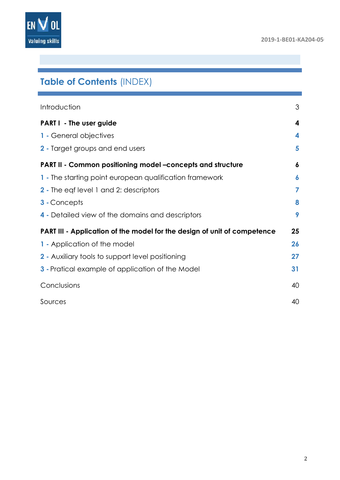

# **Table of Contents** (INDEX)

| Introduction                                                             | 3  |
|--------------------------------------------------------------------------|----|
| <b>PARTI</b> - The user guide                                            | 4  |
| 1 - General objectives                                                   | 4  |
| 2 - Target groups and end users                                          | 5  |
| PART II - Common positioning model -concepts and structure               | 6  |
| 1 - The starting point european qualification framework                  | 6  |
| 2 - The eqf level 1 and 2: descriptors                                   | 7  |
| 3 - Concepts                                                             | 8  |
| 4 - Detailed view of the domains and descriptors                         | 9  |
| PART III - Application of the model for the design of unit of competence | 25 |
| 1 - Application of the model                                             | 26 |
| 2 - Auxiliary tools to support level positioning                         | 27 |
| <b>3</b> - Pratical example of application of the Model                  | 31 |
| Conclusions                                                              | 40 |
| Sources                                                                  | 40 |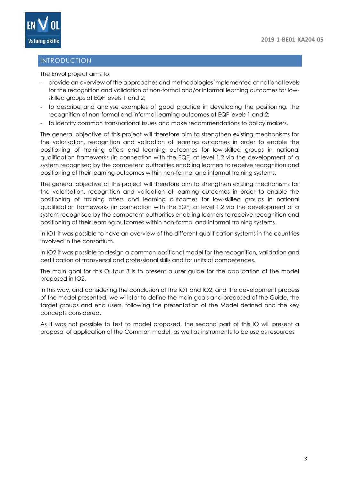

# <span id="page-2-0"></span>INTRODUCTION

The Envol project aims to:

- provide an overview of the approaches and methodologies implemented at national levels for the recognition and validation of non-formal and/or informal learning outcomes for lowskilled groups at EQF levels 1 and 2;
- to describe and analyse examples of good practice in developing the positioning, the recognition of non-formal and informal learning outcomes at EQF levels 1 and 2;
- to identify common transnational issues and make recommendations to policy makers.

The general objective of this project will therefore aim to strengthen existing mechanisms for the valorisation, recognition and validation of learning outcomes in order to enable the positioning of training offers and learning outcomes for low-skilled groups in national qualification frameworks (in connection with the EQF) at level 1,2 via the development of a system recognised by the competent authorities enabling learners to receive recognition and positioning of their learning outcomes within non-formal and informal training systems.

The general objective of this project will therefore aim to strengthen existing mechanisms for the valorisation, recognition and validation of learning outcomes in order to enable the positioning of training offers and learning outcomes for low-skilled groups in national qualification frameworks (in connection with the EQF) at level 1,2 via the development of a system recognised by the competent authorities enabling learners to receive recognition and positioning of their learning outcomes within non-formal and informal training systems.

In IO1 it was possible to have an overview of the different qualification systems in the countries involved in the consortium.

In IO2 it was possible to design a common positional model for the recognition, validation and certification of transversal and professional skills and for units of competences.

The main goal for this Output 3 is to present a user guide for the application of the model proposed in IO2.

In this way, and considering the conclusion of the IO1 and IO2, and the development process of the model presented, we will star to define the main goals and proposed of the Guide, the target groups and end users, following the presentation of the Model defined and the key concepts considered.

As it was not possible to test to model proposed, the second part of this IO will present a proposal of application of the Common model, as well as instruments to be use as resources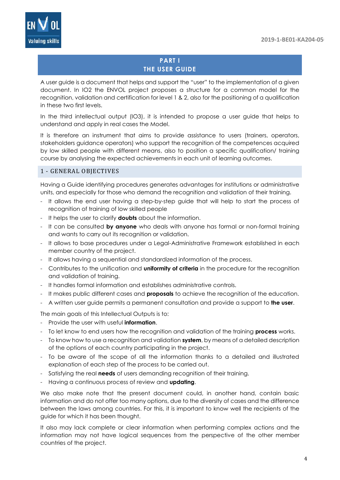

# **PART I THE USER GUIDE**

<span id="page-3-0"></span>A user guide is a document that helps and support the "user" to the implementation of a given document. In IO2 the ENVOL project proposes a structure for a common model for the recognition, validation and certification for level 1 & 2, also for the positioning of a qualification in these two first levels.

In the third intellectual output (IO3), it is intended to propose a user guide that helps to understand and apply in real cases the Model.

It is therefore an instrument that aims to provide assistance to users (trainers, operators, stakeholders guidance operators) who support the recognition of the competences acquired by low skilled people with different means, also to position a specific qualification/ training course by analysing the expected achievements in each unit of learning outcomes.

# <span id="page-3-1"></span>1 - GENERAL OBJECTIVES

Having a Guide identifying procedures generates advantages for institutions or administrative units, and especially for those who demand the recognition and validation of their training.

- It allows the end user having a step-by-step guide that will help to start the process of recognition of training of low skilled people
- It helps the user to clarify **doubts** about the information.
- It can be consulted **by anyone** who deals with anyone has formal or non-formal training and wants to carry out its recognition or validation.
- It allows to base procedures under a Legal-Administrative Framework established in each member country of the project.
- It allows having a sequential and standardized information of the process.
- Contributes to the unification and **uniformity of criteria** in the procedure for the recognition and validation of training.
- It handles formal information and establishes administrative controls.
- It makes public different cases and **proposals** to achieve the recognition of the education.
- A written user guide permits a permanent consultation and provide a support to **the user**.

The main goals of this Intellectual Outputs is to:

- Provide the user with useful **information**.
- To let know to end users how the recognition and validation of the training **process** works.
- To know how to use a recognition and validation **system**, by means of a detailed description of the options of each country participating in the project.
- To be aware of the scope of all the information thanks to a detailed and illustrated explanation of each step of the process to be carried out.
- Satisfying the real **needs** of users demanding recognition of their training.
- Having a continuous process of review and **updating**.

We also make note that the present document could, in another hand, contain basic information and do not offer too many options, due to the diversity of cases and the difference between the laws among countries. For this, it is important to know well the recipients of the guide for which it has been thought.

It also may lack complete or clear information when performing complex actions and the information may not have logical sequences from the perspective of the other member countries of the project.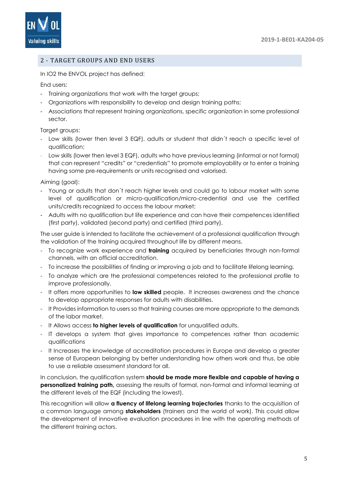

# <span id="page-4-0"></span>2 - TARGET GROUPS AND END USERS

In IO2 the ENVOL project has defined:

End users:

- Training organizations that work with the target groups;
- Organizations with responsibility to develop and design training paths;
- Associations that represent training organizations, specific organization in some professional sector.

Target groups:

- Low skills (lower then level 3 EQF), adults or student that didn't reach a specific level of qualification;
- Low skills (lower then level 3 EQF), adults who have previous learning (informal or not formal) that can represent "credits" or "credentials" to promote employability or to enter a training having some pre-requirements or units recognised and valorised.

Aiming (goal):

- Young or adults that don't reach higher levels and could go to labour market with some level of qualification or micro-qualification/micro-credential and use the certified units/credits recognized to access the labour market;
- Adults with no qualification but life experience and can have their competences identified (first party), validated (second party) and certified (third party).

The user guide is intended to facilitate the achievement of a professional qualification through the validation of the training acquired throughout life by different means.

- To recognize work experience and **training** acquired by beneficiaries through non-formal channels, with an official accreditation.
- To increase the possibilities of finding or improving a job and to facilitate lifelong learning.
- To analyze which are the professional competences related to the professional profile to improve professionally.
- It offers more opportunities to **low skilled** people. It increases awareness and the chance to develop appropriate responses for adults with disabilities.
- It Provides information to users so that training courses are more appropriate to the demands of the labor market.
- It Allows access **to higher levels of qualification** for unqualified adults.
- IT develops a system that gives importance to competences rather than academic qualifications
- It Increases the knowledge of accreditation procedures in Europe and develop a greater sense of European belonging by better understanding how others work and thus, be able to use a reliable assessment standard for all.

In conclusion, the qualification system **should be made more flexible and capable of having a personalized training path,** assessing the results of formal, non-formal and informal learning at the different levels of the EQF (including the lowest).

This recognition will allow **a fluency of lifelong learning trajectories** thanks to the acquisition of a common language among **stakeholders** (trainers and the world of work). This could allow the development of innovative evaluation procedures in line with the operating methods of the different training actors.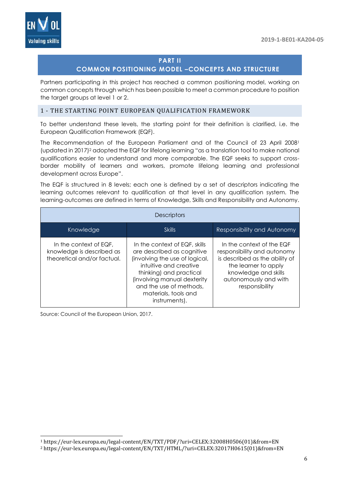

# **PART II**

# **COMMON POSITIONING MODEL –CONCEPTS AND STRUCTURE**

<span id="page-5-0"></span>Partners participating in this project has reached a common positioning model, working on common concepts through which has been possible to meet a common procedure to position the target groups at level 1 or 2.

#### <span id="page-5-1"></span>1 - THE STARTING POINT EUROPEAN QUALIFICATION FRAMEWORK

To better understand these levels, the starting point for their definition is clarified, i.e. the European Qualification Framework (EQF).

The Recommendation of the European Parliament and of the Council of 23 April 2008<sup>1</sup> (updated in 2017)<sup>2</sup> adopted the EQF for lifelong learning "as a translation tool to make national qualifications easier to understand and more comparable. The EQF seeks to support crossborder mobility of learners and workers, promote lifelong learning and professional development across Europe".

The EQF is structured in 8 levels; each one is defined by a set of descriptors indicating the learning outcomes relevant to qualification at that level in any qualification system. The learning-outcomes are defined in terms of Knowledge, Skills and Responsibility and Autonomy.

| Descriptors                                                                        |                                                                                                                                                                                                                                                       |                                                                                                                                                                                       |  |
|------------------------------------------------------------------------------------|-------------------------------------------------------------------------------------------------------------------------------------------------------------------------------------------------------------------------------------------------------|---------------------------------------------------------------------------------------------------------------------------------------------------------------------------------------|--|
| Knowledge                                                                          | <b>Skills</b>                                                                                                                                                                                                                                         | <b>Responsibility and Autonomy</b>                                                                                                                                                    |  |
| In the context of EQF.<br>knowledge is described as<br>theoretical and/or factual. | In the context of EQF, skills<br>are described as cognitive<br>(involving the use of logical,<br>intuitive and creative<br>thinking) and practical<br>(involving manual dexterity<br>and the use of methods,<br>materials, tools and<br>instruments). | In the context of the EQF<br>responsibility and autonomy<br>is described as the ability of<br>the learner to apply<br>knowledge and skills<br>autonomously and with<br>responsibility |  |

Source: Council of the European Union, 2017.

1

<sup>1</sup> https://eur-lex.europa.eu/legal-content/EN/TXT/PDF/?uri=CELEX:32008H0506(01)&from=EN

<sup>2</sup> https://eur-lex.europa.eu/legal-content/EN/TXT/HTML/?uri=CELEX:32017H0615(01)&from=EN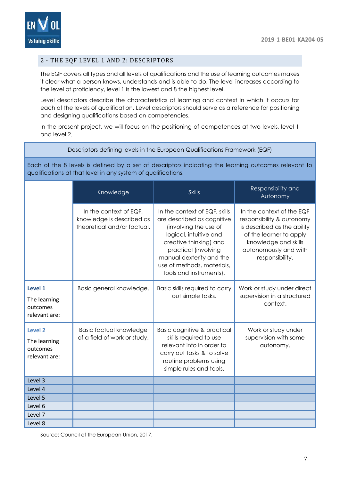

#### <span id="page-6-0"></span>2 - THE EQF LEVEL 1 AND 2: DESCRIPTORS

The EQF covers all types and all levels of qualifications and the use of learning outcomes makes it clear what a person knows, understands and is able to do. The level increases according to the level of proficiency, level 1 is the lowest and 8 the highest level.

Level descriptors describe the characteristics of learning and context in which it occurs for each of the levels of qualification. Level descriptors should serve as a reference for positioning and designing qualifications based on competencies.

In the present project, we will focus on the positioning of competences at two levels, level 1 and level 2.

#### Descriptors defining levels in the European Qualifications Framework (EQF)

Each of the 8 levels is defined by a set of descriptors indicating the learning outcomes relevant to qualifications at that level in any system of qualifications.

|                                                      | Knowledge                                                                          | <b>Skills</b>                                                                                                                                                                                                                                         | Responsibility and<br>Autonomy                                                                                                                                                       |
|------------------------------------------------------|------------------------------------------------------------------------------------|-------------------------------------------------------------------------------------------------------------------------------------------------------------------------------------------------------------------------------------------------------|--------------------------------------------------------------------------------------------------------------------------------------------------------------------------------------|
|                                                      | In the context of EQF,<br>knowledge is described as<br>theoretical and/or factual. | In the context of EQF, skills<br>are described as cognitive<br>(involving the use of<br>logical, intuitive and<br>creative thinking) and<br>practical (involving<br>manual dexterity and the<br>use of methods, materials,<br>tools and instruments). | In the context of the EQF<br>responsibility & autonomy<br>is described as the ability<br>of the learner to apply<br>knowledge and skills<br>autonomously and with<br>responsibility. |
| Level 1<br>The learning<br>outcomes<br>relevant are: | Basic general knowledge.                                                           | Basic skills required to carry<br>out simple tasks.                                                                                                                                                                                                   | Work or study under direct<br>supervision in a structured<br>context.                                                                                                                |
| Level 2<br>The learning<br>outcomes<br>relevant are: | Basic factual knowledge<br>of a field of work or study.                            | <b>Basic cognitive &amp; practical</b><br>skills required to use<br>relevant info in order to<br>carry out tasks & to solve<br>routine problems using<br>simple rules and tools.                                                                      | Work or study under<br>supervision with some<br>autonomy.                                                                                                                            |
| Level 3                                              |                                                                                    |                                                                                                                                                                                                                                                       |                                                                                                                                                                                      |
| Level 4                                              |                                                                                    |                                                                                                                                                                                                                                                       |                                                                                                                                                                                      |
| Level 5                                              |                                                                                    |                                                                                                                                                                                                                                                       |                                                                                                                                                                                      |
| Level 6                                              |                                                                                    |                                                                                                                                                                                                                                                       |                                                                                                                                                                                      |
| Level 7                                              |                                                                                    |                                                                                                                                                                                                                                                       |                                                                                                                                                                                      |
| Level 8                                              |                                                                                    |                                                                                                                                                                                                                                                       |                                                                                                                                                                                      |

Source: Council of the European Union, 2017.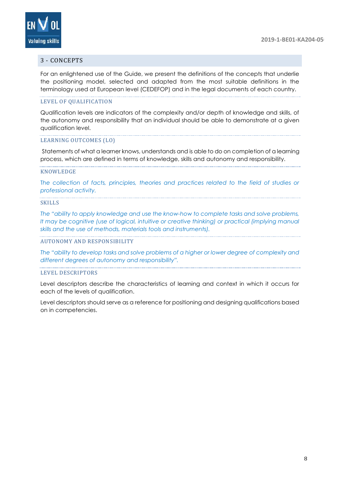

# <span id="page-7-0"></span>3 - CONCEPTS

For an enlightened use of the Guide, we present the definitions of the concepts that underlie the positioning model, selected and adapted from the most suitable definitions in the terminology used at European level (CEDEFOP) and in the legal documents of each country.

#### LEVEL OF QUALIFICATION

Qualification levels are indicators of the complexity and/or depth of knowledge and skills, of the autonomy and responsibility that an individual should be able to demonstrate at a given qualification level.

#### LEARNING OUTCOMES (LO)

Statements of what a learner knows, understands and is able to do on completion of a learning process, which are defined in terms of knowledge, skills and autonomy and responsibility.

#### KNOWLEDGE

T*he collection of facts, principles, theories and practices related to the field of studies or professional activity.*

#### SKILLS

*The "ability to apply knowledge and use the know-how to complete tasks and solve problems, It may be cognitive (use of logical, intuitive or creative thinking) or practical (implying manual skills and the use of methods, materials tools and instruments).*

#### AUTONOMY AND RESPONSIBILITY

*The "ability to develop tasks and solve problems of a higher or lower degree of complexity and different degrees of autonomy and responsibility".*

#### LEVEL DESCRIPTORS

Level descriptors describe the characteristics of learning and context in which it occurs for each of the levels of qualification.

Level descriptors should serve as a reference for positioning and designing qualifications based on in competencies.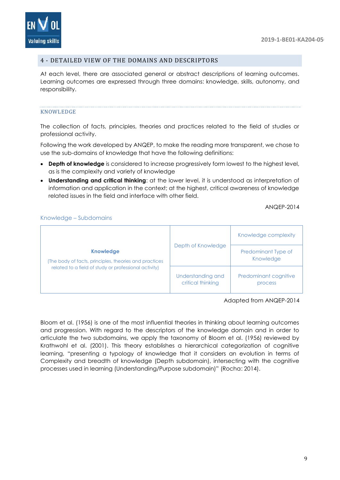

#### <span id="page-8-0"></span>4 - DETAILED VIEW OF THE DOMAINS AND DESCRIPTORS

At each level, there are associated general or abstract descriptions of learning outcomes. Learning outcomes are expressed through three domains: knowledge, skills, autonomy, and responsibility.

#### KNOWLEDGE

The collection of facts, principles, theories and practices related to the field of studies or professional activity.

Following the work developed by ANQEP, to make the reading more transparent, we chose to use the sub-domains of knowledge that have the following definitions:

- **Depth of knowledge** is considered to increase progressively form lowest to the highest level, as is the complexity and variety of knowledge
- **Understanding and critical thinking**: at the lower level, it is understood as interpretation of information and application in the context; at the highest, critical awareness of knowledge related issues in the field and interface with other field.

ANQEP-2014

#### Knowledge – Subdomains

|                                                                            |                                        | Knowledge complexity             |
|----------------------------------------------------------------------------|----------------------------------------|----------------------------------|
| <b>Knowledge</b><br>(The body of facts, principles, theories and practices | Depth of Knowledge                     | Predominant Type of<br>Knowledge |
| related to a field of study or professional activity)                      | Understanding and<br>critical thinking | Predominant cognitive<br>process |

Adapted from ANQEP-2014

Bloom et al. (1956) is one of the most influential theories in thinking about learning outcomes and progression. With regard to the descriptors of the knowledge domain and in order to articulate the two subdomains, we apply the taxonomy of Bloom et al. (1956) reviewed by Krathwohl et al. (2001). This theory establishes a hierarchical categorization of cognitive learning, "presenting a typology of knowledge that it considers an evolution in terms of Complexity and breadth of knowledge (Depth subdomain), intersecting with the cognitive processes used in learning (Understanding/Purpose subdomain)" (Rocha: 2014).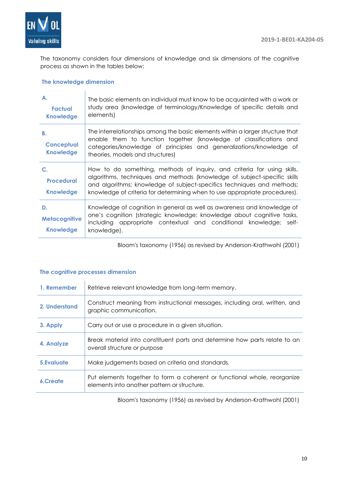

The taxonomy considers four dimensions of knowledge and six dimensions of the cognitive process as shown in the tables below:

# **The knowledge dimension**

| А.<br>Factual<br><b>Knowledge</b>              | The basic elements an individual must know to be acquainted with a work or<br>study area (knowledge of terminology/Knowledge of specific details and<br>elements)                                                                                                                                           |
|------------------------------------------------|-------------------------------------------------------------------------------------------------------------------------------------------------------------------------------------------------------------------------------------------------------------------------------------------------------------|
| В.<br><b>Conceptual</b><br><b>Knowledge</b>    | The interrelationships among the basic elements within a larger structure that<br>enable them to function together (knowledge of classifications and<br>categories/knowledge of principles and generalizations/knowledge of<br>theories, models and structures)                                             |
| C.<br><b>Procedural</b><br><b>Knowledge</b>    | How to do something, methods of inquiry, and criteria for using skills,<br>algorithms, techniques and methods (knowledge of subject-specific skills<br>and algorithms; knowledge of subject-specifics techniques and methods;<br>knowledge of criteria for determining when to use appropriate procedures). |
| D.<br><b>Metacognitive</b><br><b>Knowledge</b> | Knowledge of cognition in general as well as awareness and knowledge of<br>one's cognition (strategic knowledge; knowledge about cognitive tasks,<br>including appropriate contextual and conditional knowledge; self-<br>knowledge).                                                                       |

Bloom's taxonomy (1956) as revised by Anderson-Krathwohl (2001)

#### **The cognitive processes dimension**

| 1. Remember   | Retrieve relevant knowledge from long-term memory.                                                                      |
|---------------|-------------------------------------------------------------------------------------------------------------------------|
| 2. Understand | Construct meaning from instructional messages, including oral, written, and<br>graphic communication.                   |
| 3. Apply      | Carry out or use a procedure in a given situation.                                                                      |
| 4. Analyze    | Break material into constituent parts and determine how parts relate to an<br>overall structure or purpose              |
| 5. Evaluate   | Make judgements based on criteria and standards.                                                                        |
| 6.Create      | Put elements together to form a coherent or functional whole, reorganize<br>elements into another pattern or structure. |

Bloom's taxonomy (1956) as revised by Anderson-Krathwohl (2001)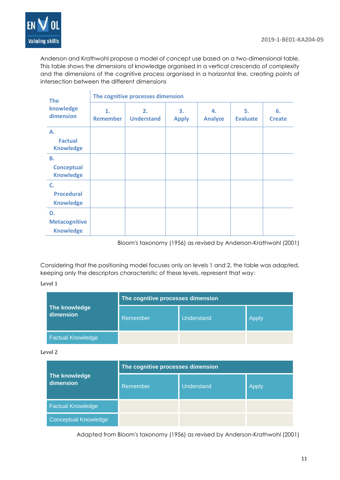

 $\hat{\mathbf{r}}$ 

Anderson and Krathwohl propose a model of concept use based on a two-dimensional table. This table shows the dimensions of knowledge organised in a vertical crescendo of complexity and the dimensions of the cognitive process organised in a horizontal line, creating points of intersection between the different dimensions

| <b>The</b>                                     | The cognitive processes dimension |                         |                    |                      |                       |                     |
|------------------------------------------------|-----------------------------------|-------------------------|--------------------|----------------------|-----------------------|---------------------|
| knowledge<br>dimension                         | 1.<br>Remember                    | 2.<br><b>Understand</b> | 3.<br><b>Apply</b> | 4.<br><b>Analyze</b> | 5.<br><b>Evaluate</b> | 6.<br><b>Create</b> |
| Α.<br><b>Factual</b><br><b>Knowledge</b>       |                                   |                         |                    |                      |                       |                     |
| В.<br><b>Conceptual</b><br><b>Knowledge</b>    |                                   |                         |                    |                      |                       |                     |
| C.<br><b>Procedural</b><br><b>Knowledge</b>    |                                   |                         |                    |                      |                       |                     |
| D.<br><b>Metacognitive</b><br><b>Knowledge</b> |                                   |                         |                    |                      |                       |                     |

Bloom's taxonomy (1956) as revised by Anderson-Krathwohl (2001)

Considering that the positioning model focuses only on levels 1 and 2, the table was adapted, keeping only the descriptors characteristic of these levels, represent that way:

#### Level 1

|                            | The cognitive processes dimension |            |       |
|----------------------------|-----------------------------------|------------|-------|
| The knowledge<br>dimension | Remember                          | Understand | Apply |
| <b>Factual Knowledge</b>   |                                   |            |       |

#### Level 2

| The knowledge<br>dimension  | The cognitive processes dimension |            |       |  |
|-----------------------------|-----------------------------------|------------|-------|--|
|                             | Remember                          | Understand | Apply |  |
| <b>Factual Knowledge</b>    |                                   |            |       |  |
| <b>Conceptual Knowledge</b> |                                   |            |       |  |

Adapted from Bloom's taxonomy (1956) as revised by Anderson-Krathwohl (2001)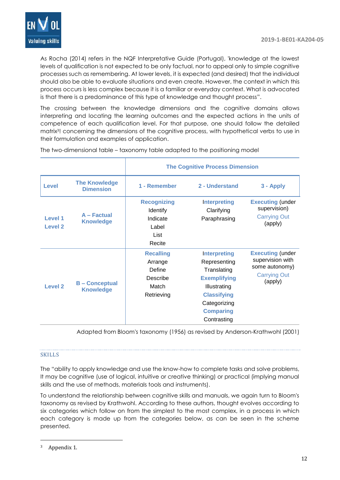

As Rocha (2014) refers in the NQF Interpretative Guide (Portugal), 'knowledge at the lowest levels of qualification is not expected to be only factual, nor to appeal only to simple cognitive processes such as remembering. At lower levels, it is expected (and desired) that the individual should also be able to evaluate situations and even create. However, the context in which this process occurs is less complex because it is a familiar or everyday context. What is advocated is that there is a predominance of this type of knowledge and thought process".

The crossing between the knowledge dimensions and the cognitive domains allows interpreting and locating the learning outcomes and the expected actions in the units of competence of each qualification level. For that purpose, one should follow the detailed matrix3! concerning the dimensions of the cognitive process, with hypothetical verbs to use in their formulation and examples of application.

|                           |                                          | <b>The Cognitive Process Dimension</b>                                   |                                                                                                                                                                    |                                                                                                 |
|---------------------------|------------------------------------------|--------------------------------------------------------------------------|--------------------------------------------------------------------------------------------------------------------------------------------------------------------|-------------------------------------------------------------------------------------------------|
| <b>Level</b>              | <b>The Knowledge</b><br><b>Dimension</b> | 1 - Remember                                                             | 2 - Understand                                                                                                                                                     | 3 - Apply                                                                                       |
| <b>Level 1</b><br>Level 2 | A - Factual<br><b>Knowledge</b>          | <b>Recognizing</b><br>Identify<br>Indicate<br>Label<br>List<br>Recite    | <b>Interpreting</b><br>Clarifying<br>Paraphrasing                                                                                                                  | <b>Executing (under</b><br>supervision)<br><b>Carrying Out</b><br>(apply)                       |
| <b>Level 2</b>            | <b>B-Conceptual</b><br><b>Knowledge</b>  | <b>Recalling</b><br>Arrange<br>Define<br>Describe<br>Match<br>Retrieving | <b>Interpreting</b><br>Representing<br>Translating<br><b>Exemplifying</b><br>Illustrating<br><b>Classifying</b><br>Categorizing<br><b>Comparing</b><br>Contrasting | <b>Executing (under</b><br>supervision with<br>some autonomy)<br><b>Carrying Out</b><br>(apply) |

The two-dimensional table – taxonomy table adapted to the positioning model

Adapted from Bloom's taxonomy (1956) as revised by Anderson-Krathwohl (2001)

#### **SKILLS**

The "ability to apply knowledge and use the know-how to complete tasks and solve problems, It may be cognitive (use of logical, intuitive or creative thinking) or practical (implying manual skills and the use of methods, materials tools and instruments).

To understand the relationship between cognitive skills and manuals, we again turn to Bloom's taxonomy as revised by Krathwohl. According to these authors, thought evolves according to six categories which follow on from the simplest to the most complex, in a process in which each category is made up from the categories below, as can be seen in the scheme presented.

1

<sup>3</sup> Appendix 1.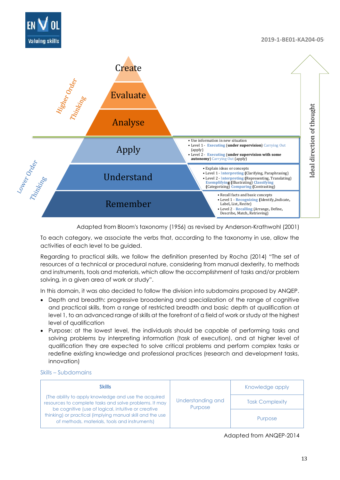



#### Adapted from Bloom's taxonomy (1956) as revised by Anderson-Krathwohl (2001)

To each category, we associate the verbs that, according to the taxonomy in use, allow the activities of each level to be guided.

Regarding to practical skills, we follow the definition presented by Rocha (2014) "The set of resources of a technical or procedural nature, considering from manual dexterity, to methods and instruments, tools and materials, which allow the accomplishment of tasks and/or problem solving, in a given area of work or study".

In this domain, it was also decided to follow the division into subdomains proposed by ANQEP.

- Depth and breadth: progressive broadening and specialization of the range of cognitive and practical skills, from a range of restricted breadth and basic depth at qualification at level 1, to an advanced range of skills at the forefront of a field of work or study at the highest level of qualification
- Purpose: at the lowest level, the individuals should be capable of performing tasks and solving problems by interpreting information (task of execution), and at higher level of qualification they are expected to solve critical problems and perform complex tasks or redefine existing knowledge and professional practices (research and development tasks, innovation)

#### Skills – Subdomains

| <b>Skills</b>                                                                                                                                                     |                              | Knowledge apply        |
|-------------------------------------------------------------------------------------------------------------------------------------------------------------------|------------------------------|------------------------|
| The ability to apply knowledge and use the acquired<br>resources to complete tasks and solve problems. It may                                                     | Understanding and<br>Purpose | <b>Task Complexity</b> |
| be cognitive (use of logical, intuitive or creative<br>thinking) or practical (implying manual skill and the use<br>of methods, materials, tools and instruments) |                              | Purpose                |

Adapted from ANQEP-2014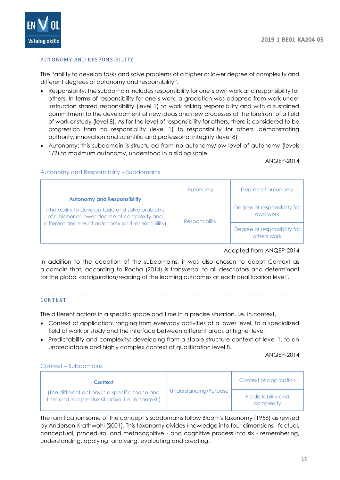

## AUTONOMY AND RESPONSIBILITY

The "ability to develop tasks and solve problems of a higher or lower degree of complexity and different degrees of autonomy and responsibility".

- Responsibility: the subdomain includes responsibility for one's own work and responsibility for others. In terms of responsibility for one's work, a gradation was adopted from work under instruction shared responsibility (level 1) to work taking responsibility and with a sustained commitment to the development of new ideas and new processes at the forefront of a field of work or study (level 8). As for the level of responsibility for others, there is considered to be progression from no responsibility (level 1) to responsibility for others, demonstrating authority, innovation and scientific and professional integrity (level 8)
- Autonomy: this subdomain is structured from no autonomy/low level of autonomy (levels 1/2) to maximum autonomy, understood in a sliding scale.

ANQEP-2014

|                                                                                                                                                                                             | Autonomy              | Degree of autonomy                          |
|---------------------------------------------------------------------------------------------------------------------------------------------------------------------------------------------|-----------------------|---------------------------------------------|
| <b>Autonomy and Responsibility</b><br>The ability to develop tasks and solve problems<br>of a higher or lower degree of complexity and<br>different degrees of autonomy and responsibility) | <b>Responsibility</b> | Degree of responsibility for<br>own work    |
|                                                                                                                                                                                             |                       | Degree of responsibility for<br>others work |

#### Autonomy and Responsibility – Subdomains

Adapted from ANQEP-2014

In addition to the adoption of the subdomains, it was also chosen to adopt Context as a domain that, according to Rocha (2014) is transversal to all descriptors and determinant for the global configuration/reading of the learning outcomes at each qualification level".

#### CONTEXT

The different actions in a specific space and time in a precise situation, i.e. in context,

- Context of application: ranging from everyday activities at a lower level, to a specialized field of work or study and the interface between different areas at higher level
- Predictability and complexity: developing from a stable structure context at level 1, to an unpredictable and highly complex context at qualification level 8.

ANQEP-2014

#### Context – Subdomains

| <b>Context</b>                                                                                      | Understanding/Purpose | Context of application           |
|-----------------------------------------------------------------------------------------------------|-----------------------|----------------------------------|
| The different actions in a specific space and<br>time and in a precise situation, i.e. in context.) |                       | Predictability and<br>complexity |

The ramification some of the concept's subdomains follow Bloom's taxonomy (1956) as revised by Anderson-Krathwohl (2001). This taxonomy divides knowledge into four dimensions - factual, conceptual, procedural and metacognitive - and cognitive process into six - remembering, understanding, applying, analysing, evaluating and creating.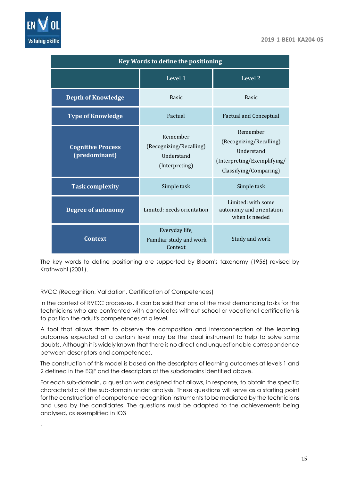

.

| Key Words to define the positioning       |                                                                     |                                                                                                                   |
|-------------------------------------------|---------------------------------------------------------------------|-------------------------------------------------------------------------------------------------------------------|
|                                           | Level 1                                                             | Level 2                                                                                                           |
| <b>Depth of Knowledge</b>                 | <b>Basic</b>                                                        | <b>Basic</b>                                                                                                      |
| <b>Type of Knowledge</b>                  | Factual                                                             | <b>Factual and Conceptual</b>                                                                                     |
| <b>Cognitive Process</b><br>(predominant) | Remember<br>(Recognizing/Recalling)<br>Understand<br>(Interpreting) | Remember<br>(Recognizing/Recalling)<br><b>Understand</b><br>(Interpreting/Exemplifying/<br>Classifying/Comparing) |
| <b>Task complexity</b>                    | Simple task                                                         | Simple task                                                                                                       |
| <b>Degree of autonomy</b>                 | Limited: needs orientation                                          | Limited: with some<br>autonomy and orientation<br>when is needed                                                  |
| <b>Context</b>                            | Everyday life,<br>Familiar study and work<br>Context                | Study and work                                                                                                    |

The key words to define positioning are supported by Bloom's taxonomy (1956) revised by Krathwohl (2001).

RVCC (Recognition, Validation, Certification of Competences)

In the context of RVCC processes, it can be said that one of the most demanding tasks for the technicians who are confronted with candidates without school or vocational certification is to position the adult's competences at a level.

A tool that allows them to observe the composition and interconnection of the learning outcomes expected at a certain level may be the ideal instrument to help to solve some doubts. Although it is widely known that there is no direct and unquestionable correspondence between descriptors and competences.

The construction of this model is based on the descriptors of learning outcomes at levels 1 and 2 defined in the EQF and the descriptors of the subdomains identified above.

For each sub-domain, a question was designed that allows, in response, to obtain the specific characteristic of the sub-domain under analysis. These questions will serve as a starting point for the construction of competence recognition instruments to be mediated by the technicians and used by the candidates. The questions must be adapted to the achievements being analysed, as exemplified in IO3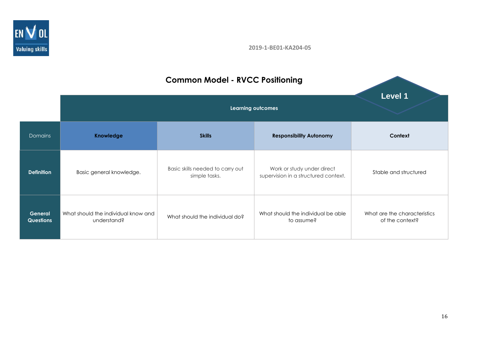

# **Learning outcomes** Domains **Knowledge Skills Responsibility Autonomy Context Definition** Basic general knowledge. Basic skills needed to carry out simple tasks. Work or study under direct supervision in a structured context. **General Questions** What should the individual know and d the individual know and what should the individual do? What should the individual be able understand? to assume? What are the characteristics of the context? **Level 1**

# **Common Model - RVCC Positioning**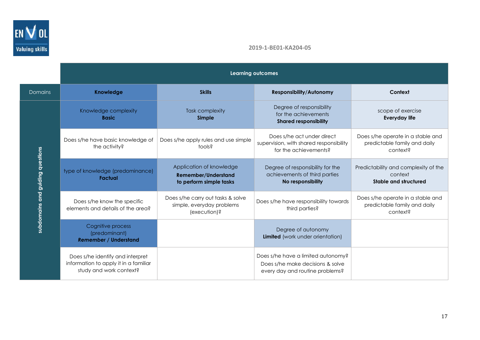

|                                  | <b>Learning outcomes</b>                                                                             |                                                                                   |                                                                                                           |                                                                               |
|----------------------------------|------------------------------------------------------------------------------------------------------|-----------------------------------------------------------------------------------|-----------------------------------------------------------------------------------------------------------|-------------------------------------------------------------------------------|
| Domains                          | Knowledge                                                                                            | <b>Skills</b>                                                                     | <b>Responsibility/Autonomy</b>                                                                            | Context                                                                       |
|                                  | Knowledge complexity<br><b>Basic</b>                                                                 | <b>Task complexity</b><br>Simple                                                  | Degree of responsibility<br>for the achievements<br><b>Shared responsibility</b>                          | scope of exercise<br><b>Everyday life</b>                                     |
|                                  | Does s/he have basic knowledge of<br>the activity?                                                   | Does s/he apply rules and use simple<br>tools?                                    | Does s/he act under direct<br>supervision, with shared responsibility<br>for the achievements?            | Does s/he operate in a stable and<br>predictable family and daily<br>context? |
| subdomains and guiding questions | type of knowledge (predominance)<br><b>Factual</b>                                                   | Application of knowledge<br><b>Remember/Understand</b><br>to perform simple tasks | Degree of responsibility for the<br>achievements of third parties<br>No responsibility                    | Predictability and complexity of the<br>context<br>Stable and structured      |
|                                  | Does s/he know the specific<br>elements and details of the area?                                     | Does s/he carry out tasks & solve<br>simple, everyday problems<br>(execution)?    | Does s/he have responsibility towards<br>third parties?                                                   | Does s/he operate in a stable and<br>predictable family and daily<br>context? |
|                                  | Cognitive process<br>(predominant)<br><b>Remember / Understand</b>                                   |                                                                                   | Degree of autonomy<br>Limited (work under orientation)                                                    |                                                                               |
|                                  | Does s/he identify and interpret<br>information to apply it in a familiar<br>study and work context? |                                                                                   | Does s/he have a limited autonomy?<br>Does s/he make decisions & solve<br>every day and routine problems? |                                                                               |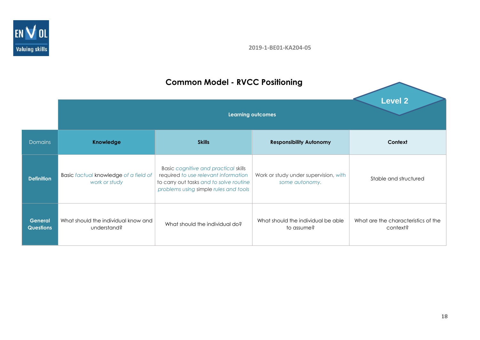

# **Common Model - RVCC Positioning**

|                                    | <b>Learning outcomes</b>                               |                                                                                                                                                                  | <b>Level 2</b>                                          |                                                 |
|------------------------------------|--------------------------------------------------------|------------------------------------------------------------------------------------------------------------------------------------------------------------------|---------------------------------------------------------|-------------------------------------------------|
| <b>Domains</b>                     | <b>Knowledge</b>                                       | <b>Skills</b>                                                                                                                                                    | <b>Responsibility Autonomy</b>                          | Context                                         |
| <b>Definition</b>                  | Basic factual knowledge of a field of<br>work or study | Basic cognitive and practical skills<br>required to use relevant information<br>to carry out tasks and to solve routine<br>problems using simple rules and tools | Work or study under supervision, with<br>some autonomy. | Stable and structured                           |
| <b>General</b><br><b>Questions</b> | What should the individual know and<br>understand?     | What should the individual do?                                                                                                                                   | What should the individual be able<br>to assume?        | What are the characteristics of the<br>context? |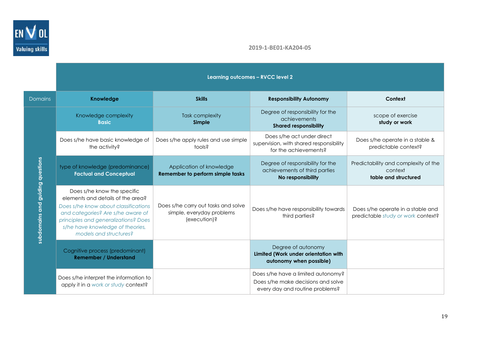

|                                  | Learning outcomes - RVCC level 2                                                                                                                                                                                                                    |                                                                                  |                                                                                                             |                                                                         |
|----------------------------------|-----------------------------------------------------------------------------------------------------------------------------------------------------------------------------------------------------------------------------------------------------|----------------------------------------------------------------------------------|-------------------------------------------------------------------------------------------------------------|-------------------------------------------------------------------------|
| <b>Domains</b>                   | <b>Knowledge</b>                                                                                                                                                                                                                                    | <b>Skills</b>                                                                    | <b>Responsibility Autonomy</b>                                                                              | Context                                                                 |
|                                  | Knowledge complexity<br><b>Basic</b>                                                                                                                                                                                                                | <b>Task complexity</b><br>Simple                                                 | Degree of responsibility for the<br>achievements<br><b>Shared responsibility</b>                            | scope of exercise<br>study or work                                      |
|                                  | Does s/he have basic knowledge of<br>the activity?                                                                                                                                                                                                  | Does s/he apply rules and use simple<br>tools?                                   | Does s/he act under direct<br>supervision, with shared responsibility<br>for the achievements?              | Does s/he operate in a stable &<br>predictable context?                 |
| subdomains and guiding questions | type of knowledge (predominance)<br><b>Factual and Conceptual</b>                                                                                                                                                                                   | Application of knowledge<br>Remember to perform simple tasks                     | Degree of responsibility for the<br>achievements of third parties<br>No responsibility                      | Predictability and complexity of the<br>context<br>table and structured |
|                                  | Does s/he know the specific<br>elements and details of the area?<br>Does s/he know about classifications<br>and categories? Are s/he aware of<br>principles and generalizations? Does<br>s/he have knowledge of theories,<br>models and structures? | Does s/he carry out tasks and solve<br>simple, everyday problems<br>(execution)? | Does s/he have responsibility towards<br>third parties?                                                     | Does s/he operate in a stable and<br>predictable study or work context? |
|                                  | Cognitive process (predominant)<br><b>Remember / Understand</b>                                                                                                                                                                                     |                                                                                  | Degree of autonomy<br>Limited (Work under orientation with<br>autonomy when possible)                       |                                                                         |
|                                  | Does s/he interpret the information to<br>apply it in a work or study context?                                                                                                                                                                      |                                                                                  | Does s/he have a limited autonomy?<br>Does s/he make decisions and solve<br>every day and routine problems? |                                                                         |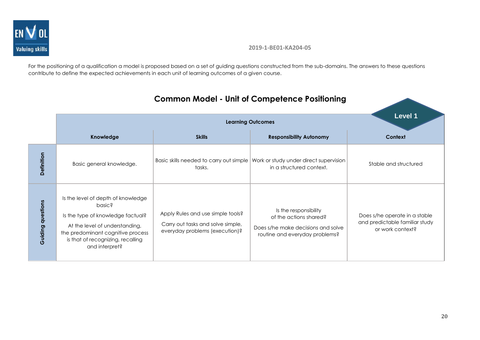

For the positioning of a qualification a model is proposed based on a set of guiding questions constructed from the sub-domains. The answers to these questions contribute to define the expected achievements in each unit of learning outcomes of a given course.

|                          |                                                                                                                                                                                                                 |                                                                                                          | <b>Learning Outcomes</b>                                                                                                | Level 1                                                                             |
|--------------------------|-----------------------------------------------------------------------------------------------------------------------------------------------------------------------------------------------------------------|----------------------------------------------------------------------------------------------------------|-------------------------------------------------------------------------------------------------------------------------|-------------------------------------------------------------------------------------|
|                          | Knowledge                                                                                                                                                                                                       | <b>Skills</b>                                                                                            | <b>Responsibility Autonomy</b>                                                                                          | Context                                                                             |
| Definition               | Basic general knowledge.                                                                                                                                                                                        | Basic skills needed to carry out simple<br>tasks.                                                        | Work or study under direct supervision<br>in a structured context.                                                      | Stable and structured                                                               |
| <b>Guiding questions</b> | Is the level of depth of knowledge<br>basic?<br>Is the type of knowledge factual?<br>At the level of understanding,<br>the predominant cognitive process<br>is that of recognizing, recalling<br>and interpret? | Apply Rules and use simple tools?<br>Carry out tasks and solve simple,<br>everyday problems (execution)? | Is the responsibility<br>of the actions shared?<br>Does s/he make decisions and solve<br>routine and everyday problems? | Does s/he operate in a stable<br>and predictable familiar study<br>or work context? |

# **Common Model - Unit of Competence Positioning**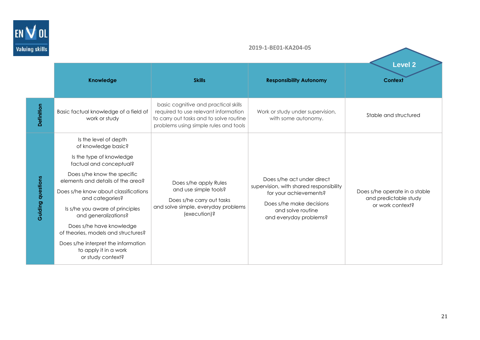

|                          | Knowledge                                                                                                                                                                                                                                                                                                                                                                                                                                             | <b>Skills</b>                                                                                                                                                    | <b>Responsibility Autonomy</b>                                                                                                                                             | <b>Level 2</b><br><b>Context</b>                                           |
|--------------------------|-------------------------------------------------------------------------------------------------------------------------------------------------------------------------------------------------------------------------------------------------------------------------------------------------------------------------------------------------------------------------------------------------------------------------------------------------------|------------------------------------------------------------------------------------------------------------------------------------------------------------------|----------------------------------------------------------------------------------------------------------------------------------------------------------------------------|----------------------------------------------------------------------------|
| Definition               | Basic factual knowledge of a field of<br>work or study                                                                                                                                                                                                                                                                                                                                                                                                | basic cognitive and practical skills<br>required to use relevant information<br>to carry out tasks and to solve routine<br>problems using simple rules and tools | Work or study under supervision,<br>with some autonomy.                                                                                                                    | Stable and structured                                                      |
| <b>Guiding questions</b> | Is the level of depth<br>of knowledge basic?<br>Is the type of knowledge<br>factual and conceptual?<br>Does s/he know the specific<br>elements and details of the area?<br>Does s/he know about classifications<br>and categories?<br>Is s/he you aware of principles<br>and generalizations?<br>Does s/he have knowledge<br>of theories, models and structures?<br>Does s/he interpret the information<br>to apply it in a work<br>or study context? | Does s/he apply Rules<br>and use simple tools?<br>Does s/he carry out tasks<br>and solve simple, everyday problems<br>(execution)?                               | Does s/he act under direct<br>supervision, with shared responsibility<br>for your achievements?<br>Does s/he make decisions<br>and solve routine<br>and everyday problems? | Does s/he operate in a stable<br>and predictable study<br>or work context? |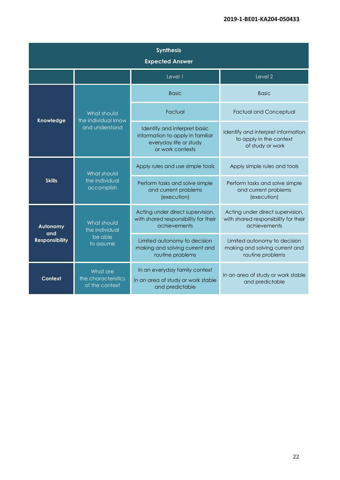| <b>Synthesis</b><br><b>Expected Answer</b>                   |                                                   |                                                                                                                |                                                                                          |
|--------------------------------------------------------------|---------------------------------------------------|----------------------------------------------------------------------------------------------------------------|------------------------------------------------------------------------------------------|
|                                                              | Level 1<br>Level 2                                |                                                                                                                |                                                                                          |
|                                                              | <b>Basic</b>                                      | <b>Basic</b>                                                                                                   |                                                                                          |
|                                                              | What should                                       | Factual                                                                                                        | <b>Factual and Conceptual</b>                                                            |
| Knowledge<br>the individual know<br>and understand           |                                                   | Identify and interpret basic<br>information to apply in familiar<br>everyday life or study<br>or work contexts | Identify and interpret information<br>to apply in the context<br>of study or work        |
| What should<br><b>Skills</b><br>the individual<br>accomplish | Apply rules and use simple tools                  | Apply simple rules and tools                                                                                   |                                                                                          |
|                                                              |                                                   | Perform tasks and solve simple<br>and current problems<br>(execution)                                          | Perform tasks and solve simple<br>and current problems<br>(execution)                    |
| What should<br><b>Autonomy</b><br>the individual             |                                                   | Acting under direct supervision,<br>with shared responsibility for their<br>achievements                       | Acting under direct supervision,<br>with shared responsibility for their<br>achievements |
| and<br><b>Responsibility</b>                                 | be able<br>to assume                              | Limited autonomy to decision<br>making and solving current and<br>routine problems                             | Limited autonomy to decision<br>making and solving current and<br>routine problems       |
| Context                                                      | What are<br>the characteristics<br>of the context | In an everyday family context<br>In an area of study or work stable<br>and predictable                         | In an area of study or work stable<br>and predictable                                    |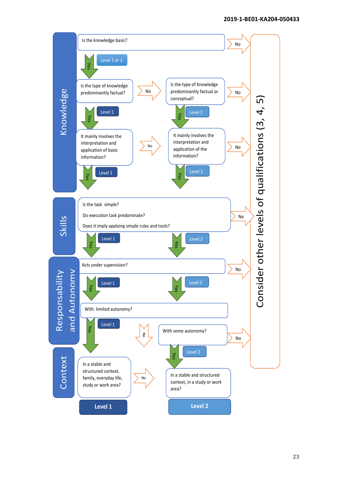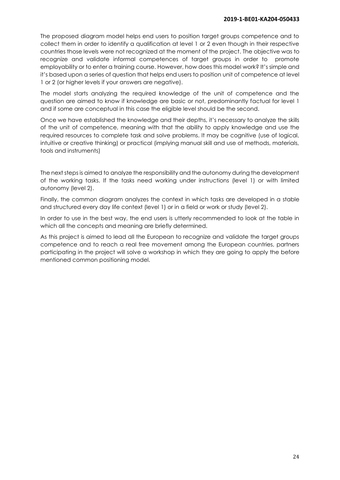The proposed diagram model helps end users to position target groups competence and to collect them in order to identify a qualification at level 1 or 2 even though in their respective countries those levels were not recognized at the moment of the project. The objective was to recognize and validate informal competences of target groups in order to promote employability or to enter a training course. However, how does this model work? It's simple and it's based upon a series of question that helps end users to position unit of competence at level 1 or 2 (or higher levels if your answers are negative).

The model starts analyzing the required knowledge of the unit of competence and the question are aimed to know if knowledge are basic or not, predominantly factual for level 1 and if some are conceptual in this case the eligible level should be the second.

Once we have established the knowledge and their depths, it's necessary to analyze the skills of the unit of competence, meaning with that the ability to apply knowledge and use the required resources to complete task and solve problems. It may be cognitive (use of logical, intuitive or creative thinking) or practical (implying manual skill and use of methods, materials, tools and instruments)

The next steps is aimed to analyze the responsibility and the autonomy during the development of the working tasks. If the tasks need working under instructions (level 1) or with limited autonomy (level 2).

Finally, the common diagram analyzes the context in which tasks are developed in a stable and structured every day life context (level 1) or in a field or work or study (level 2).

In order to use in the best way, the end users is utterly recommended to look at the table in which all the concepts and meaning are briefly determined.

As this project is aimed to lead all the European to recognize and validate the target groups competence and to reach a real free movement among the European countries, partners participating in the project will solve a workshop in which they are going to apply the before mentioned common positioning model.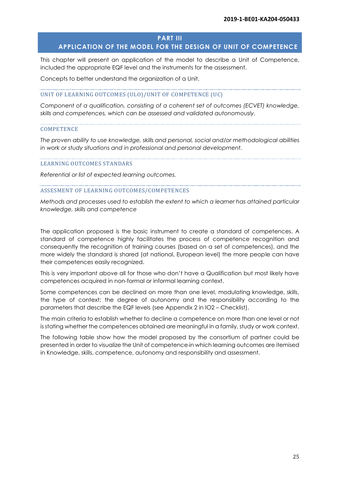#### **PART III**

# <span id="page-24-0"></span>**APPLICATION OF THE MODEL FOR THE DESIGN OF UNIT OF COMPETENCE**

This chapter will present an application of the model to describe a Unit of Competence, included the appropriate EQF level and the instruments for the assessment.

Concepts to better understand the organization of a Unit.

#### UNIT OF LEARNING OUTCOMES (ULO)/UNIT OF COMPETENCE (UC)

*Component of a qualification, consisting of a coherent set of outcomes (ECVET) knowledge, skills and competences, which can be assessed and validated autonomously.*

#### **COMPETENCE**

*The proven ability to use knowledge, skills and personal, social and/or methodological abilities in work or study situations and in professional and personal development.*

#### LEARNING OUTCOMES STANDARS

*Referential or list of expected learning outcomes.*

#### ASSESMENT OF LEARNING OUTCOMES/COMPETENCES

*Methods and processes used to establish the extent to which a learner has attained particular knowledge, skills and competence*

The application proposed is the basic instrument to create a standard of competences. A standard of competence highly facilitates the process of competence recognition and consequently the recognition of training courses (based on a set of competences), and the more widely the standard is shared (at national, European level) the more people can have their competences easily recognized.

This is very important above all for those who don't have a Qualification but most likely have competences acquired in non-formal or informal learning context.

Some competences can be declined on more than one level, modulating knowledge, skills, the type of context; the degree of autonomy and the responsibility according to the parameters that describe the EQF levels (see Appendix 2 in IO2 – Checklist).

The main criteria to establish whether to decline a competence on more than one level or not is stating whether the competences obtained are meaningful in a family, study or work context.

The following table show how the model proposed by the consortium of partner could be presented in order to visualize the Unit of competence in which learning outcomes are itemised in Knowledge, skills, competence, autonomy and responsibility and assessment.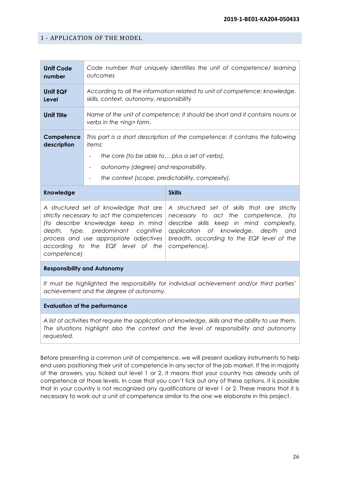# <span id="page-25-0"></span>1 - APPLICATION OF THE MODEL

| <b>Unit Code</b><br>number                                                                                                                                                                                                                      | Code number that uniquely identifies the unit of competence/ learning<br>outcomes                                                                                                                                                            |                                                                                                                                                                                                                                                 |
|-------------------------------------------------------------------------------------------------------------------------------------------------------------------------------------------------------------------------------------------------|----------------------------------------------------------------------------------------------------------------------------------------------------------------------------------------------------------------------------------------------|-------------------------------------------------------------------------------------------------------------------------------------------------------------------------------------------------------------------------------------------------|
| Unit EQF<br><b>Level</b>                                                                                                                                                                                                                        | According to all the information related to unit of competence: knowledge,<br>skills, context, autonomy, responsibility                                                                                                                      |                                                                                                                                                                                                                                                 |
| <b>Unit Title</b>                                                                                                                                                                                                                               | Name of the unit of competence; it should be short and it contains nouns or<br>verbs in the <ing> form.</ing>                                                                                                                                |                                                                                                                                                                                                                                                 |
| Competence<br>description                                                                                                                                                                                                                       | This part is a short description of the competence; it contains the following<br><i>items:</i><br>the core (to be able to plus a set of verbs),<br>autonomy (degree) and responsibility,<br>the context (scope, predictability, complexity). |                                                                                                                                                                                                                                                 |
| <b>Knowledge</b>                                                                                                                                                                                                                                |                                                                                                                                                                                                                                              | <b>Skills</b>                                                                                                                                                                                                                                   |
| A structured set of knowledge that are<br>strictly necessary to act the competences<br>(to describe knowledge keep in mind<br>depth, type, predominant cognitive<br>process and use appropriate adjectives<br>according to the EQF level of the |                                                                                                                                                                                                                                              | A structured set of skills that are strictly<br>necessary to act the competence.<br>to (<br>describe skills keep in mind complexity,<br>application of knowledge,<br>depth<br>and<br>breadth, according to the EQF level of the<br>competence). |

#### **Responsibility and Autonomy**

*competence)*

*It must be highlighted the responsibility for individual achievement and/or third parties' achievement and the degree of autonomy.*

#### **Evaluation of the performance**

*A list of activities that require the application of knowledge, skills and the ability to use them. The situations highlight also the context and the level of responsibility and autonomy requested.*

Before presenting a common unit of competence, we will present auxiliary instruments to help end users positioning their unit of competence in any sector of the job market. If the in majority of the answers, you ticked out level 1 or 2, it means that your country has already units of competence at those levels. In case that you can't tick out any of these options, it is possible that in your country is not recognized any qualifications at level 1 or 2. These means that it is necessary to work out a unit of competence similar to the one we elaborate in this project.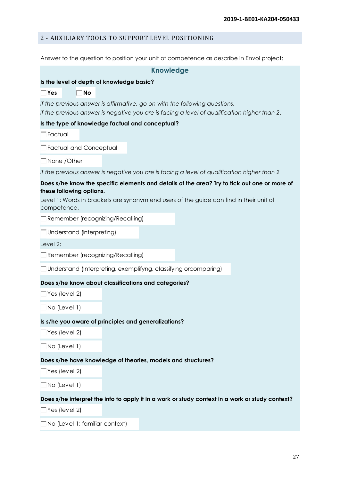# <span id="page-26-0"></span>2 - AUXILIARY TOOLS TO SUPPORT LEVEL POSITIONING

Answer to the question to position your unit of competence as describe in Envol project:

|                                         | <b>Knowledge</b>                                                                                                                                                                        |
|-----------------------------------------|-----------------------------------------------------------------------------------------------------------------------------------------------------------------------------------------|
|                                         | Is the level of depth of knowledge basic?                                                                                                                                               |
| $\Box$ No<br>$\Box$ Yes                 |                                                                                                                                                                                         |
|                                         | If the previous answer is affirmative, go on with the following questions.<br>If the previous answer is negative you are is facing a level of qualification higher than 2.              |
|                                         | Is the type of knowledge factual and conceptual?                                                                                                                                        |
| $\Box$ Factual                          |                                                                                                                                                                                         |
| Factual and Conceptual                  |                                                                                                                                                                                         |
| $\Box$ None / Other                     |                                                                                                                                                                                         |
|                                         | If the previous answer is negative you are is facing a level of qualification higher than 2                                                                                             |
| these following options.<br>competence. | Does s/he know the specific elements and details of the area? Try to tick out one or more of<br>Level 1: Words in brackets are synonym end users of the guide can find in their unit of |
| Remember (recognizing/Recalling)        |                                                                                                                                                                                         |
| $\Box$ Understand (interpreting)        |                                                                                                                                                                                         |
| Level 2:                                |                                                                                                                                                                                         |
| Remember (recognizing/Recalling)        |                                                                                                                                                                                         |
|                                         | □ Understand (Interpreting, exemplifyng, classifying orcomparing)                                                                                                                       |
|                                         | Does s/he know about classifications and categories?                                                                                                                                    |
| $\Box$ Yes (level 2)                    |                                                                                                                                                                                         |
| $\Box$ No (Level 1)                     |                                                                                                                                                                                         |
|                                         | Is s/he you aware of principles and generalizations?                                                                                                                                    |
| $\Box$ Yes (level 2)                    |                                                                                                                                                                                         |
| $\Box$ No (Level 1)                     |                                                                                                                                                                                         |
|                                         | Does s/he have knowledge of theories, models and structures?                                                                                                                            |
| $\Box$ Yes (level 2)                    |                                                                                                                                                                                         |
| $\Box$ No (Level 1)                     |                                                                                                                                                                                         |
|                                         | Does s/he interpret the info to apply it in a work or study context in a work or study context?                                                                                         |
| $\Box$ Yes (level 2)                    |                                                                                                                                                                                         |
| $\Box$ No (Level 1: familiar context)   |                                                                                                                                                                                         |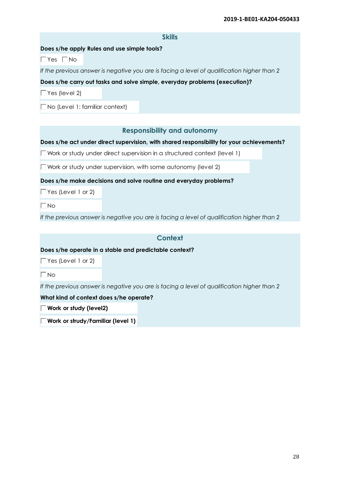|                                             | <b>Skills</b>                                                                               |
|---------------------------------------------|---------------------------------------------------------------------------------------------|
| Does s/he apply Rules and use simple tools? |                                                                                             |
| $\Box$ Yes $\Box$ No                        |                                                                                             |
|                                             | If the previous answer is negative you are is facing a level of qualification higher than 2 |
|                                             | Does s/he carry out tasks and solve simple, everyday problems (execution)?                  |
| $\Box$ Yes (level 2)                        |                                                                                             |
| $\Box$ No (Level 1: familiar context)       |                                                                                             |
|                                             |                                                                                             |
|                                             | <b>Responsibility and autonomy</b>                                                          |
|                                             | Does s/he act under direct supervision, with shared responsibility for your achievements?   |
|                                             | $\Box$ Work or study under direct supervision in a structured context (level 1)             |
|                                             | $\Box$ Work or study under supervision, with some autonomy (level 2)                        |
|                                             | Does s/he make decisions and solve routine and everyday problems?                           |
| $\Box$ Yes (Level 1 or 2)                   |                                                                                             |
| $\Box$ No                                   |                                                                                             |
|                                             | If the previous answer is negative you are is facing a level of qualification higher than 2 |
|                                             |                                                                                             |
|                                             | <b>Context</b>                                                                              |
|                                             | Does s/he operate in a stable and predictable context?                                      |
| $\Box$ Yes (Level 1 or 2)                   |                                                                                             |
| $\Box$ No                                   |                                                                                             |
|                                             | If the previous answer is negative you are is facing a level of qualification higher than 2 |
| What kind of context does s/he operate?     |                                                                                             |
| $\Box$ Work or study (level2)               |                                                                                             |
| $\Box$ Work or strudy/Familiar (level 1)    |                                                                                             |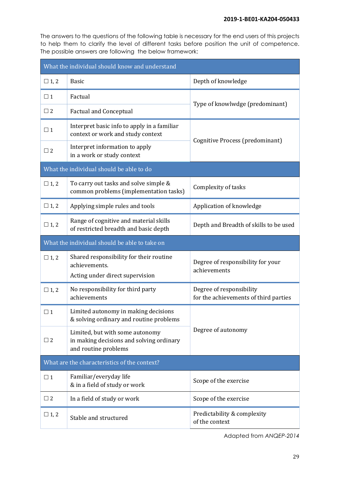The answers to the questions of the following table is necessary for the end users of this projects to help them to clarify the level of different tasks before position the unit of competence. The possible answers are following the below framework:

| What the individual should know and understand |                                                                                                     |                                                                   |  |
|------------------------------------------------|-----------------------------------------------------------------------------------------------------|-------------------------------------------------------------------|--|
| $\Box$ 1, 2                                    | <b>Basic</b>                                                                                        | Depth of knowledge                                                |  |
| $\Box$ 1                                       | Factual                                                                                             |                                                                   |  |
| $\Box$ 2                                       | <b>Factual and Conceptual</b>                                                                       | Type of knowlwdge (predominant)                                   |  |
| $\Box$ 1                                       | Interpret basic info to apply in a familiar<br>context or work and study context                    | Cognitive Process (predominant)                                   |  |
| $\Box$ 2                                       | Interpret information to apply<br>in a work or study context                                        |                                                                   |  |
|                                                | What the individual should be able to do                                                            |                                                                   |  |
| $\Box$ 1, 2                                    | To carry out tasks and solve simple &<br>common problems (implementation tasks)                     | Complexity of tasks                                               |  |
| $\Box$ 1, 2                                    | Applying simple rules and tools                                                                     | Application of knowledge                                          |  |
| $\Box$ 1, 2                                    | Range of cognitive and material skills<br>of restricted breadth and basic depth                     | Depth and Breadth of skills to be used                            |  |
| What the individual should be able to take on  |                                                                                                     |                                                                   |  |
| $\Box$ 1, 2                                    | Shared responsibility for their routine<br>achievements.                                            | Degree of responsibility for your<br>achievements                 |  |
|                                                | Acting under direct supervision                                                                     |                                                                   |  |
| $\Box$ 1, 2                                    | No responsibility for third party<br>achievements                                                   | Degree of responsibility<br>for the achievements of third parties |  |
| $\square$ 1                                    | Limited autonomy in making decisions<br>& solving ordinary and routine problems                     |                                                                   |  |
| $\Box$ 2                                       | Limited, but with some autonomy<br>in making decisions and solving ordinary<br>and routine problems | Degree of autonomy                                                |  |
| What are the characteristics of the context?   |                                                                                                     |                                                                   |  |
| $\Box$ 1                                       | Familiar/everyday life<br>& in a field of study or work                                             | Scope of the exercise                                             |  |
| $\Box$ 2                                       | In a field of study or work                                                                         | Scope of the exercise                                             |  |
| $\Box$ 1, 2                                    | Stable and structured                                                                               | Predictability & complexity<br>of the context                     |  |

Adapted from *ANQEP-2014*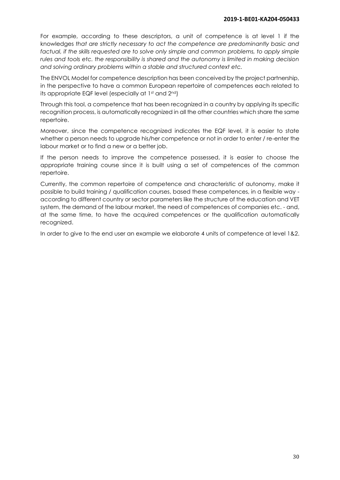For example, according to these descriptors, a unit of competence is at level 1 if the knowledges *that are strictly necessary to act the competence are predominantly basic and*  factual, if the skills requested are to solve only simple and common problems, to apply simple *rules and tools etc. the responsibility is shared and the autonomy is limited in making decision and solving ordinary problems within a stable and structured context etc.*

The ENVOL Model for competence description has been conceived by the project partnership, in the perspective to have a common European repertoire of competences each related to its appropriate EQF level (especially at 1st and 2nd)

Through this tool, a competence that has been recognized in a country by applying its specific recognition process, is automatically recognized in all the other countries which share the same repertoire.

Moreover, since the competence recognized indicates the EQF level, it is easier to state whether a person needs to upgrade his/her competence or not in order to enter / re-enter the labour market or to find a new or a better job.

If the person needs to improve the competence possessed, it is easier to choose the appropriate training course since it is built using a set of competences of the common repertoire.

Currently, the common repertoire of competence and characteristic of autonomy, make it possible to build training / qualification courses, based these competences, in a flexible way according to different country or sector parameters like the structure of the education and VET system, the demand of the labour market, the need of competences of companies etc. - and, at the same time, to have the acquired competences or the qualification automatically recognized.

In order to give to the end user an example we elaborate 4 units of competence at level 1&2.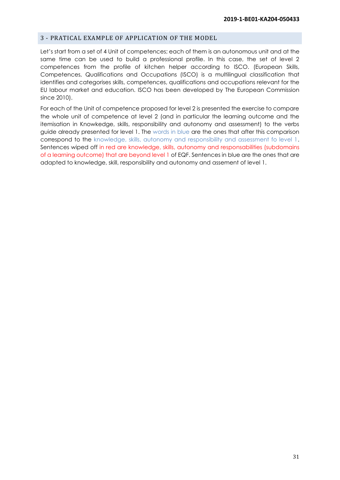#### <span id="page-30-0"></span>3 - PRATICAL EXAMPLE OF APPLICATION OF THE MODEL

Let's start from a set of 4 Unit of competences; each of them is an autonomous unit and at the same time can be used to build a professional profile. In this case, the set of level 2 competences from the profile of kitchen helper according to ISCO. (European Skills, Competences, Qualifications and Occupations (ISCO) is a multilingual classification that identifies and categorises [skills,](https://en.wikipedia.org/wiki/Skills) [competences,](https://en.wikipedia.org/wiki/Competence_(human_resources)) [qualifications](https://en.wikipedia.org/wiki/Qualifications_framework) and [occupations](https://en.wikipedia.org/wiki/Job) relevant for the EU labour market and education. ISCO has been developed by [The European Commission](https://en.wikipedia.org/wiki/The_European_Commission) since 2010).

For each of the Unit of competence proposed for level 2 is presented the exercise to compare the whole unit of competence at level 2 (and in particular the learning outcome and the itemisation in Knowkedge, skills, responsibility and autonomy and assessment) to the verbs guide already presented for level 1. The words in blue are the ones that after this comparison correspond to the knowledge, skills, autonomy and responsibility and assessment fo level 1. Sentences wiped off in red are knowledge, skills, autonomy and responsabilities (subdomains of a learning outcome) that are beyond level 1 of EQF. Sentences in blue are the ones that are adapted to knowledge, skill, responsibility and autonomy and assement of level 1.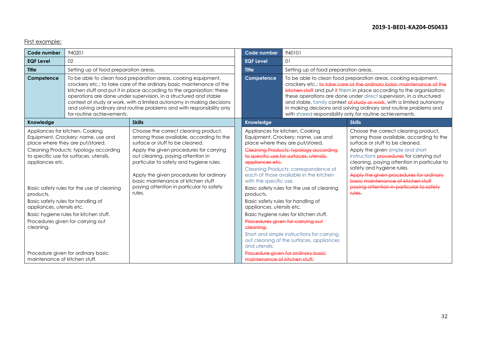# First example:

| Code number                                                            | 940201                                                                                                                                                                                                                                                                                                                                                                                                                                                                |                                                                                                                                                                                                                                                                                                                                                                                      | Code number                                                                                                       | 940101                                                                                                                                                                                                                                                                                                                                                                                                                                                                                                                                     |                                                                                                                                                                                                                                                                                                                                                                                                                       |
|------------------------------------------------------------------------|-----------------------------------------------------------------------------------------------------------------------------------------------------------------------------------------------------------------------------------------------------------------------------------------------------------------------------------------------------------------------------------------------------------------------------------------------------------------------|--------------------------------------------------------------------------------------------------------------------------------------------------------------------------------------------------------------------------------------------------------------------------------------------------------------------------------------------------------------------------------------|-------------------------------------------------------------------------------------------------------------------|--------------------------------------------------------------------------------------------------------------------------------------------------------------------------------------------------------------------------------------------------------------------------------------------------------------------------------------------------------------------------------------------------------------------------------------------------------------------------------------------------------------------------------------------|-----------------------------------------------------------------------------------------------------------------------------------------------------------------------------------------------------------------------------------------------------------------------------------------------------------------------------------------------------------------------------------------------------------------------|
| <b>EQF Level</b>                                                       | 02                                                                                                                                                                                                                                                                                                                                                                                                                                                                    |                                                                                                                                                                                                                                                                                                                                                                                      | <b>EQF Level</b>                                                                                                  | 01                                                                                                                                                                                                                                                                                                                                                                                                                                                                                                                                         |                                                                                                                                                                                                                                                                                                                                                                                                                       |
| <b>Title</b>                                                           | Setting up of food preparation areas.                                                                                                                                                                                                                                                                                                                                                                                                                                 |                                                                                                                                                                                                                                                                                                                                                                                      | <b>Title</b>                                                                                                      | Setting up of food preparation areas.                                                                                                                                                                                                                                                                                                                                                                                                                                                                                                      |                                                                                                                                                                                                                                                                                                                                                                                                                       |
| Competence                                                             | To be able to clean food preparation areas, cooking equipment,<br>crockery etc.; to take care of the ordinary basic maintenance of the<br>kitchen stuff and put it in place according to the organization; these<br>operations are done under supervision, in a structured and stable<br>context of study or work, with a limited autonomy in making decisions<br>and solving ordinary and routine problems and with responsibility only<br>for routine achievements. |                                                                                                                                                                                                                                                                                                                                                                                      | Competence                                                                                                        | To be able to clean food preparation areas, cooking equipment,<br>crockery etc.; to take care of the ordinary basic maintenance of the<br>kitchen stuff and put it them in place according to the organization;<br>these operations are done under direct supervision, in a structured<br>and stable, family context of study or work, with a limited autonomy<br>in making decisions and solving ordinary and routine problems and<br>with shared responsibility only for routine achievements.                                           |                                                                                                                                                                                                                                                                                                                                                                                                                       |
| Knowledge                                                              |                                                                                                                                                                                                                                                                                                                                                                                                                                                                       | <b>Skills</b>                                                                                                                                                                                                                                                                                                                                                                        | Knowledge                                                                                                         |                                                                                                                                                                                                                                                                                                                                                                                                                                                                                                                                            | <b>Skills</b>                                                                                                                                                                                                                                                                                                                                                                                                         |
| appliances etc.<br>products.<br>appliances, utensils etc.<br>cleaning. | Appliances for kitchen, Cooking<br>Equipment, Crockery: name, use and<br>place where they are put/stored.<br>Cleaning Products: typology according<br>to specific use for surfaces, utensils,<br>Basic safety rules for the use of cleaning<br>Basic safety rules for handling of<br>Basic hygiene rules for kitchen stuff.<br>Procedures given for carrying out                                                                                                      | Choose the correct cleaning product,<br>among those available, according to the<br>surface or stuff to be cleaned.<br>Apply the given procedures for carrying<br>out cleaning, paying attention in<br>particular to safety and hygiene rules.<br>Apply the given procedures for ordinary<br>basic maintenance of kitchen stuff<br>paying attention in particular to safety<br>rules. | appliances etc.<br>with the specific use.<br>products.<br>appliances, utensils etc.<br>cleaning.<br>and utensils: | Appliances for kitchen, Cooking<br>Equipment, Crockery: name, use and<br>place where they are put/stored.<br>Cleaning Products: typology according<br>to specific use for surfaces utensils<br>Cleaning Products: correspondence of<br>each of those available in the kitchen<br>Basic safety rules for the use of cleaning<br>Basic safety rules for handling of<br>Basic hygiene rules for kitchen stuff.<br>Procedures given for carrying out<br>Short and simple instructions for carrying<br>out cleaning of the surfaces, appliances | Choose the correct cleaning product,<br>among those available, according to the<br>surface or stuff to be cleaned.<br>Apply the given simple and short<br>instructions procedures for carrying out<br>cleaning, paying attention in particular to<br>safety and hygiene rules.<br>Apply the given procedures for ordinary<br>basic maintenance of kitchen stuff<br>paying attention in particular to safety<br>rules. |
| Procedure given for ordinary basic<br>maintenance of kitchen stuff.    |                                                                                                                                                                                                                                                                                                                                                                                                                                                                       |                                                                                                                                                                                                                                                                                                                                                                                      | maintenance of kitchen stuff                                                                                      | Procedure given for ordinary basic                                                                                                                                                                                                                                                                                                                                                                                                                                                                                                         |                                                                                                                                                                                                                                                                                                                                                                                                                       |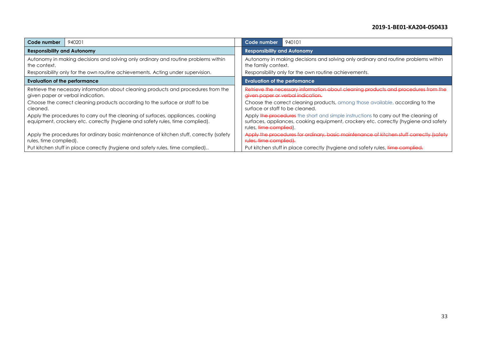| 940201                                                                                                                                                           | Code number                                                                                                                                                                                                       |  |  |  |
|------------------------------------------------------------------------------------------------------------------------------------------------------------------|-------------------------------------------------------------------------------------------------------------------------------------------------------------------------------------------------------------------|--|--|--|
| Code number                                                                                                                                                      | 940101                                                                                                                                                                                                            |  |  |  |
| <b>Responsibility and Autonomy</b>                                                                                                                               | <b>Responsibility and Autonomy</b>                                                                                                                                                                                |  |  |  |
| Autonomy in making decisions and solving only ordinary and routine problems within                                                                               | Autonomy in making decisions and solving only ordinary and routine problems within                                                                                                                                |  |  |  |
| the context.                                                                                                                                                     | the family context.                                                                                                                                                                                               |  |  |  |
| Responsibility only for the own routine achievements. Acting under supervision.                                                                                  | Responsibility only for the own routine achievements.                                                                                                                                                             |  |  |  |
| Evaluation of the performance                                                                                                                                    | <b>Evaluation of the perfomance</b>                                                                                                                                                                               |  |  |  |
| Retrieve the necessary information about cleaning products and procedures from the                                                                               | Retrieve the necessary information about cleaning products and procedures from the                                                                                                                                |  |  |  |
| given paper or verbal indication.                                                                                                                                | given paper or verbal indication.                                                                                                                                                                                 |  |  |  |
| Choose the correct cleaning products according to the surface or staff to be                                                                                     | Choose the correct cleaning products, among those available, according to the                                                                                                                                     |  |  |  |
| cleaned.                                                                                                                                                         | surface or staff to be cleaned.                                                                                                                                                                                   |  |  |  |
| Apply the procedures to carry out the cleaning of surfaces, appliances, cooking<br>equipment, crockery etc. correctly (hygiene and safety rules, time complied). | Apply the procedures the short and simple instructions to carry out the cleaning of<br>surfaces, appliances, cooking equipment, crockery etc. correctly (hygiene and safety<br>rules, <del>time complied</del> ). |  |  |  |
| Apply the procedures for ordinary basic maintenance of kitchen stuff, correctly (safety                                                                          | Apply the procedures for ordinary, basic maintenance of kitchen stuff correctly (safety                                                                                                                           |  |  |  |
| rules, time complied).                                                                                                                                           | rules, time complied).                                                                                                                                                                                            |  |  |  |
| Put kitchen stuff in place correctly (hygiene and safety rules, time complied)                                                                                   | Put kitchen stuff in place correctly (hygiene and safety rules, time complied.                                                                                                                                    |  |  |  |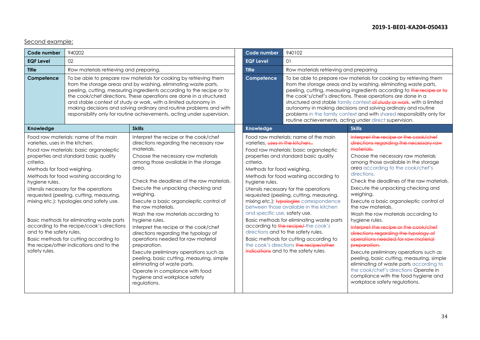# Second example:

| Code number                                                                                                                                                                                                                                                                                                                                                                                                                                                                                                                                                                                                                  | 940202                                                                                                                                                                                                                                                                                                                                                                                                                                                                                                     |                                                                                                                                                                                                                                                                                                                                                                                                                                                                                                                                                                                                                                                                                                                                                                | <b>Code number</b>                                                                                                           | 940102                                                                                                                                                                                                                                                                                                                                                                                                                                                                                                                                                                                          |                                                                                                                                                                                                                                                                                                                                                                                                                                                                                                                                                                                                                                                                                                                                                                                                                                                      |
|------------------------------------------------------------------------------------------------------------------------------------------------------------------------------------------------------------------------------------------------------------------------------------------------------------------------------------------------------------------------------------------------------------------------------------------------------------------------------------------------------------------------------------------------------------------------------------------------------------------------------|------------------------------------------------------------------------------------------------------------------------------------------------------------------------------------------------------------------------------------------------------------------------------------------------------------------------------------------------------------------------------------------------------------------------------------------------------------------------------------------------------------|----------------------------------------------------------------------------------------------------------------------------------------------------------------------------------------------------------------------------------------------------------------------------------------------------------------------------------------------------------------------------------------------------------------------------------------------------------------------------------------------------------------------------------------------------------------------------------------------------------------------------------------------------------------------------------------------------------------------------------------------------------------|------------------------------------------------------------------------------------------------------------------------------|-------------------------------------------------------------------------------------------------------------------------------------------------------------------------------------------------------------------------------------------------------------------------------------------------------------------------------------------------------------------------------------------------------------------------------------------------------------------------------------------------------------------------------------------------------------------------------------------------|------------------------------------------------------------------------------------------------------------------------------------------------------------------------------------------------------------------------------------------------------------------------------------------------------------------------------------------------------------------------------------------------------------------------------------------------------------------------------------------------------------------------------------------------------------------------------------------------------------------------------------------------------------------------------------------------------------------------------------------------------------------------------------------------------------------------------------------------------|
| <b>EQF Level</b>                                                                                                                                                                                                                                                                                                                                                                                                                                                                                                                                                                                                             | 02                                                                                                                                                                                                                                                                                                                                                                                                                                                                                                         |                                                                                                                                                                                                                                                                                                                                                                                                                                                                                                                                                                                                                                                                                                                                                                | <b>EQF Level</b>                                                                                                             | 01                                                                                                                                                                                                                                                                                                                                                                                                                                                                                                                                                                                              |                                                                                                                                                                                                                                                                                                                                                                                                                                                                                                                                                                                                                                                                                                                                                                                                                                                      |
| <b>Title</b>                                                                                                                                                                                                                                                                                                                                                                                                                                                                                                                                                                                                                 | Row materials retrieving and preparing.                                                                                                                                                                                                                                                                                                                                                                                                                                                                    |                                                                                                                                                                                                                                                                                                                                                                                                                                                                                                                                                                                                                                                                                                                                                                | <b>Title</b>                                                                                                                 | Row materials retrieving and preparing                                                                                                                                                                                                                                                                                                                                                                                                                                                                                                                                                          |                                                                                                                                                                                                                                                                                                                                                                                                                                                                                                                                                                                                                                                                                                                                                                                                                                                      |
| Competence                                                                                                                                                                                                                                                                                                                                                                                                                                                                                                                                                                                                                   | To be able to prepare row materials for cooking by retrieving them<br>from the storage areas and by washing, eliminating waste parts,<br>peeling, cutting, measuring ingredients according to the recipe or to<br>the cook/chef directions. These operations are done in a structured<br>and stable context of study or work, with a limited autonomy in<br>making decisions and solving ordinary and routine problems and with<br>responsibility only for routine achievements, acting under supervision. |                                                                                                                                                                                                                                                                                                                                                                                                                                                                                                                                                                                                                                                                                                                                                                | Competence                                                                                                                   | To be able to prepare row materials for cooking by retrieving them<br>from the storage areas and by washing, eliminating waste parts,<br>peeling, cutting, measuring ingredients according to the recipe or to<br>the cook's/chef's directions. These operations are done in a<br>structured and stable family context-of study or work, with a limited<br>autonomy in making decisions and solving ordinary and routine<br>problems in the family context and with shared responsibility only for<br>routine achievements, acting under direct supervision.                                    |                                                                                                                                                                                                                                                                                                                                                                                                                                                                                                                                                                                                                                                                                                                                                                                                                                                      |
| Knowledge                                                                                                                                                                                                                                                                                                                                                                                                                                                                                                                                                                                                                    |                                                                                                                                                                                                                                                                                                                                                                                                                                                                                                            | <b>Skills</b>                                                                                                                                                                                                                                                                                                                                                                                                                                                                                                                                                                                                                                                                                                                                                  | Knowledge                                                                                                                    |                                                                                                                                                                                                                                                                                                                                                                                                                                                                                                                                                                                                 | <b>Skills</b>                                                                                                                                                                                                                                                                                                                                                                                                                                                                                                                                                                                                                                                                                                                                                                                                                                        |
| Food raw materials: name of the main<br>varieties, uses in the kitchen.<br>Food raw materials: basic organoleptic<br>properties and standard basic quality<br>criteria.<br>Methods for food weighing.<br>Methods for food washing according to<br>hygiene rules.<br>Utensils necessary for the operations<br>requested (peeling, cutting, measuring,<br>mixing etc.): typologies and safety use.<br>Basic methods for eliminating waste parts<br>according to the recipe/cook's directions<br>and to the safety rules.<br>Basic methods for cutting according to<br>the recipe/other indications and to the<br>safety rules. |                                                                                                                                                                                                                                                                                                                                                                                                                                                                                                            | Interpret the recipe or the cook/chef<br>directions regarding the necessary raw<br>materials.<br>Choose the necessary raw materials<br>among those available in the storage<br>area.<br>Check the deadlines of the raw materials.<br>Execute the unpacking checking and<br>weighing.<br>Execute a basic organoleptic control of<br>the raw materials.<br>Wash the row materials according to<br>hygiene rules.<br>Interpret the recipe or the cook/chef<br>directions regarding the typology of<br>operations needed for raw material<br>preparation.<br>Execute preliminary operations such as<br>peeling, basic cutting, measuring, simple<br>eliminating of waste parts.<br>Operate in compliance with food<br>hygiene and workplace safety<br>regulations. | varieties, uses in the kitchen<br>criteria.<br>Methods for food weighing.<br>hygiene rules.<br>and specific use, safety use. | Food raw materials: name of the main<br>Food raw materials: basic organoleptic<br>properties and standard basic quality<br>Methods for food washing according to<br>Utensils necessary for the operations<br>requested (peeling, cutting, measuring,<br>mixing etc.): typologies correspondence<br>between those available in the kitchen<br>Basic methods for eliminating waste parts<br>according to the recipe/the cook's<br>directions and to the safety rules.<br>Basic methods for cutting according to<br>the cook's directions the recipe/other<br>indications and to the safety rules. | Interpret the recipe or the cook/chef<br>directions regarding the necessary raw<br>materials.<br>Choose the necessary raw materials<br>among those available in the storage<br>area according to the cook/chef's<br>directions.<br>Check the deadlines of the raw materials.<br>Execute the unpacking checking and<br>weighing.<br>Execute a basic organoleptic control of<br>the raw materials.<br>Wash the row materials according to<br>hygiene rules.<br>Interpret the recipe or the cook/chef<br>directions regarding the typology of<br>eperations needed for raw material<br>preparation.<br>Execute preliminary operations such as<br>peeling, basic cutting, measuring, simple<br>eliminating of waste parts according to<br>the cook/chef's directions Operate in<br>compliance with the food hygiene and<br>workplace safety regulations. |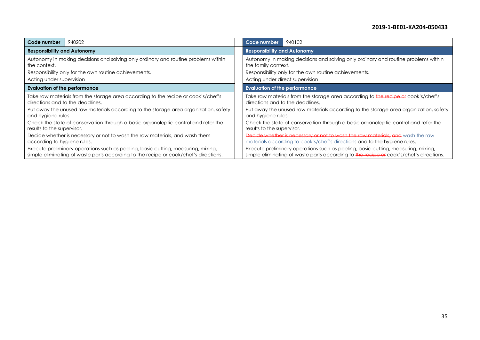| 940202<br>Code number                                                                | 940102<br>Code number                                                                  |  |  |
|--------------------------------------------------------------------------------------|----------------------------------------------------------------------------------------|--|--|
| <b>Responsibility and Autonomy</b>                                                   | <b>Responsibility and Autonomy</b>                                                     |  |  |
| Autonomy in making decisions and solving only ordinary and routine problems within   | Autonomy in making decisions and solving only ordinary and routine problems within     |  |  |
| the context.                                                                         | the family context.                                                                    |  |  |
| Responsibility only for the own routine achievements.                                | Responsibility only for the own routine achievements.                                  |  |  |
| Acting under supervision                                                             | Acting under direct supervision                                                        |  |  |
| <b>Evaluation of the performance</b>                                                 | <b>Evaluation of the performance</b>                                                   |  |  |
| Take raw materials from the storage area according to the recipe or cook's/chef's    | Take raw materials from the storage area according to the recipe or cook's/chef's      |  |  |
| directions and to the deadlines.                                                     | directions and to the deadlines.                                                       |  |  |
| Put away the unused raw materials according to the storage area organization, safety | Put away the unused raw materials according to the storage area organization, safety   |  |  |
| and hygiene rules.                                                                   | and hygiene rules.                                                                     |  |  |
| Check the state of conservation through a basic organoleptic control and refer the   | Check the state of conservation through a basic organoleptic control and refer the     |  |  |
| results to the supervisor.                                                           | results to the supervisor.                                                             |  |  |
| Decide whether is necessary or not to wash the raw materials, and wash them          | Decide whether is necessary or not to wash the raw materials, and wash the raw         |  |  |
| according to hygiene rules.                                                          | materials according to cook's/chef's directions and to the hygiene rules.              |  |  |
| Execute preliminary operations such as peeling, basic cutting, measuring, mixing,    | Execute preliminary operations such as peeling, basic cutting, measuring, mixing,      |  |  |
| simple eliminating of waste parts according to the recipe or cook/chef's directions. | simple eliminating of waste parts according to the recipe or cook's/chef's directions. |  |  |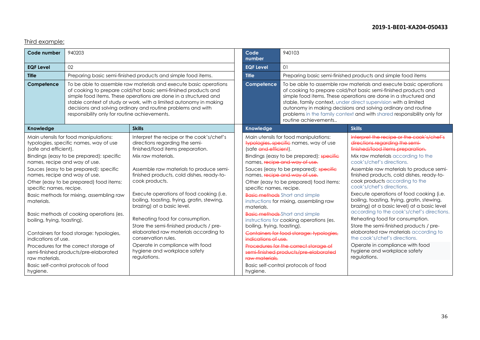# Third example:

| Code number                                                                                                                                                                                                                                                                                                                                                                                                                                                                                                                                                                                                                      | 940203                                                                                                                                                                                                                                                                                                                                                                                          |                                                                                                                                                                                                                                                                                                                                                                                                                                                                                                                                                                                                           | Code<br>number                                                                                                                        | 940103                                                                                                                                                                                                                                                                                                                                                                                                                                                                                                                                                                                    |                                                                                                                                                                                                                                                                                                                                                                                                                                                                                                                                                                                                                                                                                                                                                                              |
|----------------------------------------------------------------------------------------------------------------------------------------------------------------------------------------------------------------------------------------------------------------------------------------------------------------------------------------------------------------------------------------------------------------------------------------------------------------------------------------------------------------------------------------------------------------------------------------------------------------------------------|-------------------------------------------------------------------------------------------------------------------------------------------------------------------------------------------------------------------------------------------------------------------------------------------------------------------------------------------------------------------------------------------------|-----------------------------------------------------------------------------------------------------------------------------------------------------------------------------------------------------------------------------------------------------------------------------------------------------------------------------------------------------------------------------------------------------------------------------------------------------------------------------------------------------------------------------------------------------------------------------------------------------------|---------------------------------------------------------------------------------------------------------------------------------------|-------------------------------------------------------------------------------------------------------------------------------------------------------------------------------------------------------------------------------------------------------------------------------------------------------------------------------------------------------------------------------------------------------------------------------------------------------------------------------------------------------------------------------------------------------------------------------------------|------------------------------------------------------------------------------------------------------------------------------------------------------------------------------------------------------------------------------------------------------------------------------------------------------------------------------------------------------------------------------------------------------------------------------------------------------------------------------------------------------------------------------------------------------------------------------------------------------------------------------------------------------------------------------------------------------------------------------------------------------------------------------|
| <b>EQF Level</b>                                                                                                                                                                                                                                                                                                                                                                                                                                                                                                                                                                                                                 | 02 <sup>°</sup>                                                                                                                                                                                                                                                                                                                                                                                 |                                                                                                                                                                                                                                                                                                                                                                                                                                                                                                                                                                                                           | <b>EQF Level</b>                                                                                                                      | $\Omega$                                                                                                                                                                                                                                                                                                                                                                                                                                                                                                                                                                                  |                                                                                                                                                                                                                                                                                                                                                                                                                                                                                                                                                                                                                                                                                                                                                                              |
| <b>Title</b>                                                                                                                                                                                                                                                                                                                                                                                                                                                                                                                                                                                                                     | Preparing basic semi-finished products and simple food items.                                                                                                                                                                                                                                                                                                                                   |                                                                                                                                                                                                                                                                                                                                                                                                                                                                                                                                                                                                           | <b>Title</b>                                                                                                                          | Preparing basic semi-finished products and simple food items                                                                                                                                                                                                                                                                                                                                                                                                                                                                                                                              |                                                                                                                                                                                                                                                                                                                                                                                                                                                                                                                                                                                                                                                                                                                                                                              |
| Competence                                                                                                                                                                                                                                                                                                                                                                                                                                                                                                                                                                                                                       | To be able to assemble raw materials and execute basic operations<br>of cooking to prepare cold/hot basic semi-finished products and<br>simple food items. These operations are done in a structured and<br>stable context of study or work, with a limited autonomy in making<br>decisions and solving ordinary and routine problems and with<br>responsibility only for routine achievements. |                                                                                                                                                                                                                                                                                                                                                                                                                                                                                                                                                                                                           | Competence                                                                                                                            | To be able to assemble raw materials and execute basic operations<br>of cooking to prepare cold/hot basic semi-finished products and<br>simple food items. These operations are done in a structured and<br>stable, family context, under direct supervision with a limited<br>autonomy in making decisions and solving ordinary and routine<br>problems in the family context and with shared responsibility only for<br>routine achievements                                                                                                                                            |                                                                                                                                                                                                                                                                                                                                                                                                                                                                                                                                                                                                                                                                                                                                                                              |
| Knowledge                                                                                                                                                                                                                                                                                                                                                                                                                                                                                                                                                                                                                        |                                                                                                                                                                                                                                                                                                                                                                                                 | <b>Skills</b>                                                                                                                                                                                                                                                                                                                                                                                                                                                                                                                                                                                             | <b>Knowledge</b>                                                                                                                      |                                                                                                                                                                                                                                                                                                                                                                                                                                                                                                                                                                                           | <b>Skills</b>                                                                                                                                                                                                                                                                                                                                                                                                                                                                                                                                                                                                                                                                                                                                                                |
| Main utensils for food manipulations:<br>typologies, specific names, way of use<br>(safe and efficient).<br>Bindings (easy to be prepared): specific<br>names, recipe and way of use.<br>Sauces (easy to be prepared): specific<br>names, recipe and way of use.<br>Other (easy to be prepared) food items:<br>specific names, recipe.<br>Basic methods for mixing, assembling raw<br>materials.<br>Basic methods of cooking operations (es.<br>boiling, frying, toasting).<br>Containers for food storage: typologies,<br>indications of use.<br>Procedures for the correct storage of<br>semi-finished products/pre-elaborated |                                                                                                                                                                                                                                                                                                                                                                                                 | Interpret the recipe or the cook's/chef's<br>directions regarding the semi-<br>finished/food items preparation.<br>Mix raw materials.<br>Assemble raw materials to produce semi-<br>finished products, cold dishes, ready-to-<br>cook products.<br>Execute operations of food cooking (i.e.<br>boiling, toasting, frying, gratin, stewing,<br>brazing) at a basic level.<br>Reheating food for consumption.<br>Store the semi-finished products / pre-<br>elaborated raw materials according to<br>conservation rules.<br>Operate in compliance with food<br>hygiene and workplace safety<br>regulations. | (safe and efficient).<br>specific names, recipe.<br>materials.<br>boiling, frying, toasting).<br>indications of use<br>raw materials. | Main utensils for food manipulations:<br>typologies, specific names, way of use<br>Bindings (easy to be prepared): specific<br>names, recipe and way of use.<br>Sauces (easy to be prepared): specific<br>names, recipe and way of use.<br>Other (easy to be prepared) food items:<br><b>Basic methods</b> Short and simple<br>instructions for mixing, assembling raw<br><b>Basic methods</b> Short and simple<br>instructions for cooking operations (es.<br>Containers for food storage: typologies,<br>Procedures for the correct storage of<br>semi finished products/pre elaborated | Interpret the recipe or the cook's/chef's<br>directions regarding the semi-<br>finished/food items preparation.<br>Mix raw materials according to the<br>cook's/chef's directions.<br>Assemble raw materials to produce semi-<br>finished products, cold dishes, ready-to-<br>cook products according to the<br>cook's/chef's directions.<br>Execute operations of food cooking (i.e.<br>boiling, toasting, frying, gratin, stewing,<br>brazing) at a basic level) at a basic level<br>according to the cook's/chef's directions.<br>Reheating food for consumption.<br>Store the semi-finished products / pre-<br>elaborated raw materials according to<br>the cook's/chef's directions.<br>Operate in compliance with food<br>hygiene and workplace safety<br>regulations. |
| Basic self-control protocols of food<br>hygiene.                                                                                                                                                                                                                                                                                                                                                                                                                                                                                                                                                                                 |                                                                                                                                                                                                                                                                                                                                                                                                 |                                                                                                                                                                                                                                                                                                                                                                                                                                                                                                                                                                                                           | hygiene.                                                                                                                              | Basic self-control protocols of food                                                                                                                                                                                                                                                                                                                                                                                                                                                                                                                                                      |                                                                                                                                                                                                                                                                                                                                                                                                                                                                                                                                                                                                                                                                                                                                                                              |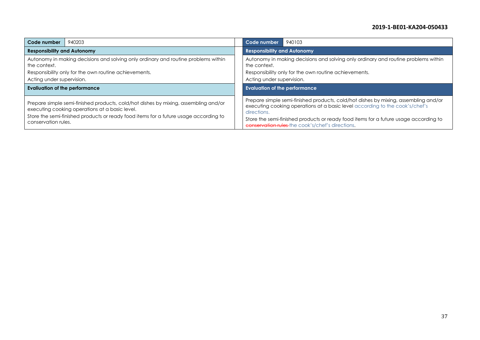| Code number                                                                                        | 940203 | Code number                                                                                        | 940103 |  |  |
|----------------------------------------------------------------------------------------------------|--------|----------------------------------------------------------------------------------------------------|--------|--|--|
| <b>Responsibility and Autonomy</b>                                                                 |        | <b>Responsibility and Autonomy</b>                                                                 |        |  |  |
| Autonomy in making decisions and solving only ordinary and routine problems within<br>the context. |        | Autonomy in making decisions and solving only ordinary and routine problems within<br>the context. |        |  |  |
| Responsibility only for the own routine achievements.                                              |        | Responsibility only for the own routine achievements.                                              |        |  |  |
| Acting under supervision.                                                                          |        | Acting under supervision.                                                                          |        |  |  |
| <b>Evaliuation of the performance</b>                                                              |        | <b>Evaluation of the performance</b>                                                               |        |  |  |
|                                                                                                    |        |                                                                                                    |        |  |  |
|                                                                                                    |        |                                                                                                    |        |  |  |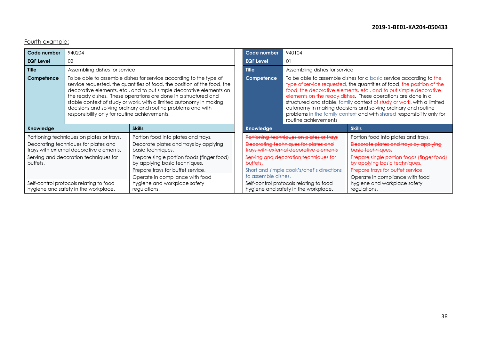Fourth example:

| Code number                                                                                                                   | 940204                                                                                                                                                                                                                                                                                                                                                                                                                                                                          |                                                                                                                  | Code number                                                                                                                 | 940104                                                                                                                                                                                                                                                                                                                                                                                                                                                                                                                         |                                                                                                                  |  |
|-------------------------------------------------------------------------------------------------------------------------------|---------------------------------------------------------------------------------------------------------------------------------------------------------------------------------------------------------------------------------------------------------------------------------------------------------------------------------------------------------------------------------------------------------------------------------------------------------------------------------|------------------------------------------------------------------------------------------------------------------|-----------------------------------------------------------------------------------------------------------------------------|--------------------------------------------------------------------------------------------------------------------------------------------------------------------------------------------------------------------------------------------------------------------------------------------------------------------------------------------------------------------------------------------------------------------------------------------------------------------------------------------------------------------------------|------------------------------------------------------------------------------------------------------------------|--|
| <b>EQF Level</b>                                                                                                              | 02                                                                                                                                                                                                                                                                                                                                                                                                                                                                              |                                                                                                                  | <b>EQF Level</b>                                                                                                            | 01                                                                                                                                                                                                                                                                                                                                                                                                                                                                                                                             |                                                                                                                  |  |
| <b>Title</b>                                                                                                                  | Assembling dishes for service                                                                                                                                                                                                                                                                                                                                                                                                                                                   |                                                                                                                  | <b>Title</b>                                                                                                                | Assembling dishes for service                                                                                                                                                                                                                                                                                                                                                                                                                                                                                                  |                                                                                                                  |  |
| Competence                                                                                                                    | To be able to assemble dishes for service according to the type of<br>service requested, the quantities of food, the position of the food, the<br>decorative elements, etc., and to put simple decorative elements on<br>the ready dishes. These operations are done in a structured and<br>stable context of study or work, with a limited autonomy in making<br>decisions and solving ordinary and routine problems and with<br>responsibility only for routine achievements. |                                                                                                                  | Competence                                                                                                                  | To be able to assemble dishes for a basic service according to the<br>type of service requested, the quantities of food, the position of the<br>food, the decorative elements, etc., and to put simple decorative<br>elements on the ready dishes. These operations are done in a<br>structured and stable, family context of study or work, with a limited<br>autonomy in making decisions and solving ordinary and routine<br>problems in the family context and with shared responsibility only for<br>routine achievements |                                                                                                                  |  |
| Knowledge                                                                                                                     |                                                                                                                                                                                                                                                                                                                                                                                                                                                                                 | <b>Skills</b>                                                                                                    | Knowledge                                                                                                                   |                                                                                                                                                                                                                                                                                                                                                                                                                                                                                                                                | <b>Skills</b>                                                                                                    |  |
| Portioning techniques on plates or trays.<br>Decorating techniques for plates and<br>trays with external decorative elements. |                                                                                                                                                                                                                                                                                                                                                                                                                                                                                 | Portion food into plates and trays.<br>Decorate plates and trays by applying<br>basic techniques.                | Portioning techniques on plates or trays<br>Decorating techniques for plates and<br>trays with external decorative elements |                                                                                                                                                                                                                                                                                                                                                                                                                                                                                                                                | Portion food into plates and trays.<br>Decorate plates and trays by applying<br>basic techniques.                |  |
| Serving and decoration techniques for<br>buffets.                                                                             |                                                                                                                                                                                                                                                                                                                                                                                                                                                                                 | Prepare single portion foods (finger food)<br>by applying basic techniques.<br>Prepare trays for buffet service. | Serving and decoration techniques for<br>buffets.<br>Short and simple cook's/chef's directions                              |                                                                                                                                                                                                                                                                                                                                                                                                                                                                                                                                | Prepare single portion foods (finger food)<br>by applying basic techniques.<br>Prepare trays for buffet service. |  |
| Self-control protocols relating to food<br>hygiene and safety in the workplace.                                               |                                                                                                                                                                                                                                                                                                                                                                                                                                                                                 | Operate in compliance with food<br>hygiene and workplace safety<br>regulations.                                  | to assemble dishes.                                                                                                         | Self-control protocols relating to food<br>hygiene and safety in the workplace.                                                                                                                                                                                                                                                                                                                                                                                                                                                | Operate in compliance with food<br>hygiene and workplace safety<br>regulations.                                  |  |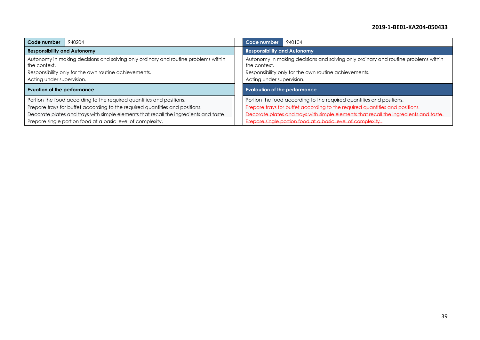| Code number                                                                                                                                                                                                                                   | 940204 | Code number<br>940104                                                                                                                                                                                                                         |  |  |
|-----------------------------------------------------------------------------------------------------------------------------------------------------------------------------------------------------------------------------------------------|--------|-----------------------------------------------------------------------------------------------------------------------------------------------------------------------------------------------------------------------------------------------|--|--|
| <b>Responsibility and Autonomy</b>                                                                                                                                                                                                            |        | <b>Responsibility and Autonomy</b>                                                                                                                                                                                                            |  |  |
| Autonomy in making decisions and solving only ordinary and routine problems within<br>the context.<br>Responsibility only for the own routine achievements.<br>Acting under supervision.                                                      |        | Autonomy in making decisions and solving only ordinary and routine problems within<br>the context.<br>Responsibility only for the own routine achievements.<br>Acting under supervision.                                                      |  |  |
| <b>Evuation of the performance</b>                                                                                                                                                                                                            |        | <b>Evalaution of the performance</b>                                                                                                                                                                                                          |  |  |
| Portion the food according to the required quantities and positions.<br>Prepare trays for buffet according to the required quantities and positions.<br>Decorate plates and trays with simple elements that recall the ingredients and taste. |        | Portion the food according to the required quantities and positions.<br>Prepare trays for buffet according to the required quantities and positions.<br>Decorate plates and trays with simple elements that recall the ingredients and taste. |  |  |
| Prepare single portion food at a basic level of complexity.                                                                                                                                                                                   |        | Prepare single portion food at a basic level of complexity.                                                                                                                                                                                   |  |  |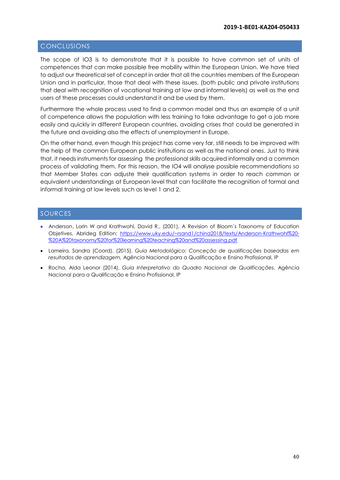# <span id="page-39-0"></span>CONCLUSIONS

The scope of IO3 is to demonstrate that it is possible to have common set of units of competences that can make possible free mobility within the European Union. We have tried to adjust our theoretical set of concept in order that all the countries members of the European Union and in particular, those that deal with these issues, (both public and private institutions that deal with recognition of vocational training at low and informal levels) as well as the end users of these processes could understand it and be used by them.

Furthermore the whole process used to find a common model and thus an example of a unit of competence allows the population with less training to take advantage to get a job more easily and quickly in different European countries, avoiding crises that could be generated in the future and avoiding also the effects of unemployment in Europe.

On the other hand, even though this project has come very far, still needs to be improved with the help of the common European public institutions as well as the national ones. Just to think that, it needs instruments for assessing the professional skills acquired informally and a common process of validating them. For this reason, the IO4 will analyse possible recommendations so that Member States can adjuste their qualification systems in order to reach common or equivalent understandings at European level that can facilitate the recognition of formal and informal training at low levels such as level 1 and 2.

#### <span id="page-39-1"></span>SOURCES

- Anderson, Lorin W and Krathwohl, David R., (2001), A Revision of Bloom's Taxonomy of Education Objetives, Abrideg Edition; [https://www.uky.edu/~rsand1/china2018/texts/Anderson-Krathwohl%20-](https://www.uky.edu/~rsand1/china2018/texts/Anderson-Krathwohl%20-%20A%20taxonomy%20for%20learning%20teaching%20and%20assessing.pdf) [%20A%20taxonomy%20for%20learning%20teaching%20and%20assessing.pdf](https://www.uky.edu/~rsand1/china2018/texts/Anderson-Krathwohl%20-%20A%20taxonomy%20for%20learning%20teaching%20and%20assessing.pdf)
- Lameira, Sandra (Coord), (2015), *Guia Metodológico: Conceção de qualificações baseadas em resultados de aprendizagem,* Agência Nacional para a Qualificação e Ensino Profissional, IP
- Rocha, Alda Leonor (2014), *Guia Interpretativo do Quadro Nacional de Qualificações*, Agência Nacional para a Qualificação e Ensino Profissional, IP